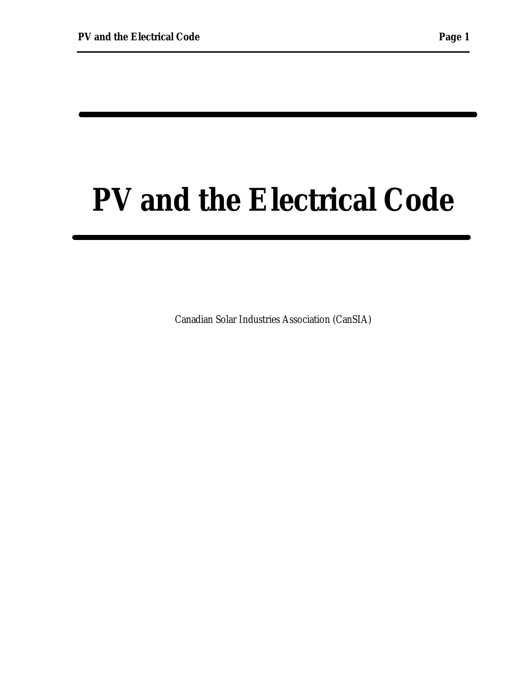# **PV and the Electrical Code**

Canadian Solar Industries Association (CanSIA)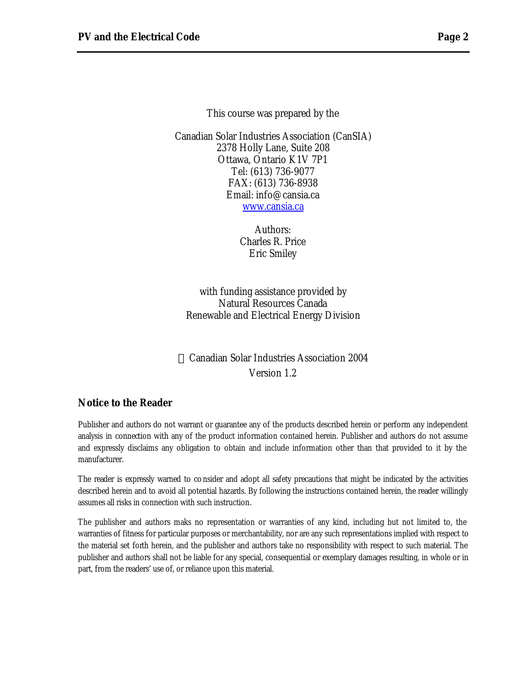This course was prepared by the

Canadian Solar Industries Association (CanSIA) 2378 Holly Lane, Suite 208 Ottawa, Ontario K1V 7P1 Tel: (613) 736-9077 FAX: (613) 736-8938 Email: info@cansia.ca www.cansia.ca

> Authors: Charles R. Price Eric Smiley

with funding assistance provided by Natural Resources Canada Renewable and Electrical Energy Division

 Canadian Solar Industries Association 2004 Version 1.2

#### **Notice to the Reader**

Publisher and authors do not warrant or guarantee any of the products described herein or perform any independent analysis in connection with any of the product information contained herein. Publisher and authors do not assume and expressly disclaims any obligation to obtain and include information other than that provided to it by the manufacturer.

The reader is expressly warned to co nsider and adopt all safety precautions that might be indicated by the activities described herein and to avoid all potential hazards. By following the instructions contained herein, the reader willingly assumes all risks in connection with such instruction.

The publisher and authors maks no representation or warranties of any kind, including but not limited to, the warranties of fitness for particular purposes or merchantability, nor are any such representations implied with respect to the material set forth herein, and the publisher and authors take no responsibility with respect to such material. The publisher and authors shall not be liable for any special, consequential or exemplary damages resulting, in whole or in part, from the readers' use of, or reliance upon this material.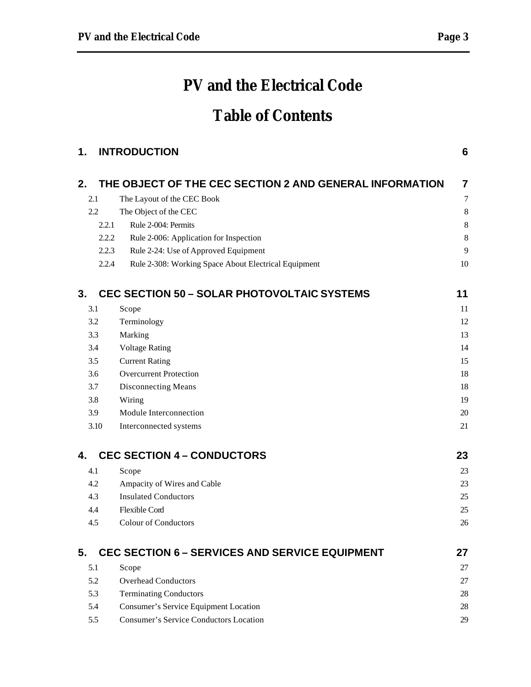# **PV and the Electrical Code**

# **Table of Contents**

| 1. |       | <b>INTRODUCTION</b>                                     | 6              |
|----|-------|---------------------------------------------------------|----------------|
| 2. |       | THE OBJECT OF THE CEC SECTION 2 AND GENERAL INFORMATION | 7              |
|    | 2.1   | The Layout of the CEC Book                              | $\overline{7}$ |
|    | 2.2   | The Object of the CEC                                   | $\,8\,$        |
|    | 2.2.1 | Rule 2-004: Permits                                     | $\,8\,$        |
|    | 2.2.2 | Rule 2-006: Application for Inspection                  | $\,8\,$        |
|    | 2.2.3 | Rule 2-24: Use of Approved Equipment                    | 9              |
|    | 2.2.4 | Rule 2-308: Working Space About Electrical Equipment    | 10             |
| 3. |       | <b>CEC SECTION 50 - SOLAR PHOTOVOLTAIC SYSTEMS</b>      | 11             |
|    | 3.1   | Scope                                                   | 11             |
|    | 3.2   | Terminology                                             | 12             |
|    | 3.3   | Marking                                                 | 13             |
|    | 3.4   | <b>Voltage Rating</b>                                   | 14             |
|    | 3.5   | <b>Current Rating</b>                                   | 15             |
|    | 3.6   | <b>Overcurrent Protection</b>                           | 18             |
|    | 3.7   | Disconnecting Means                                     | 18             |
|    | 3.8   | Wiring                                                  | 19             |
|    | 3.9   | Module Interconnection                                  | 20             |
|    | 3.10  | Interconnected systems                                  | 21             |
| 4. |       | <b>CEC SECTION 4 - CONDUCTORS</b>                       | 23             |
|    | 4.1   | Scope                                                   | 23             |
|    | 4.2   | Ampacity of Wires and Cable                             | 23             |
|    | 4.3   | <b>Insulated Conductors</b>                             | 25             |
|    | 4.4   | <b>Flexible Cord</b>                                    | 25             |
|    | 4.5   | <b>Colour of Conductors</b>                             | 26             |
| 5. |       | <b>CEC SECTION 6 - SERVICES AND SERVICE EQUIPMENT</b>   | 27             |
|    | 5.1   | Scope                                                   | 27             |
|    | 5.2   | <b>Overhead Conductors</b>                              | 27             |
|    | 5.3   | <b>Terminating Conductors</b>                           | 28             |
|    | 5.4   | Consumer's Service Equipment Location                   | 28             |
|    | 5.5   | <b>Consumer's Service Conductors Location</b>           | 29             |
|    |       |                                                         |                |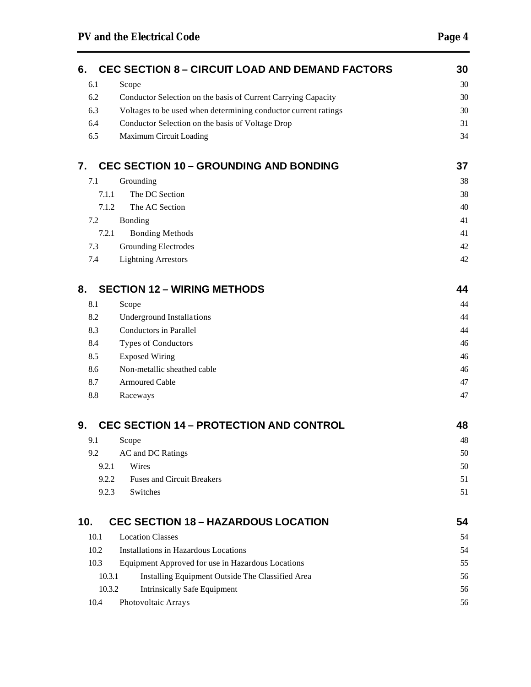| 6.     | <b>CEC SECTION 8 - CIRCUIT LOAD AND DEMAND FACTORS</b>         | 30 |
|--------|----------------------------------------------------------------|----|
| 6.1    | Scope                                                          | 30 |
| 6.2    | Conductor Selection on the basis of Current Carrying Capacity  | 30 |
| 6.3    | Voltages to be used when determining conductor current ratings | 30 |
| 6.4    | Conductor Selection on the basis of Voltage Drop               | 31 |
| 6.5    | Maximum Circuit Loading                                        | 34 |
| 7.     | <b>CEC SECTION 10 - GROUNDING AND BONDING</b>                  | 37 |
| 7.1    | Grounding                                                      | 38 |
| 7.1.1  | The DC Section                                                 | 38 |
| 7.1.2  | The AC Section                                                 | 40 |
| 7.2    | Bonding                                                        | 41 |
| 7.2.1  | <b>Bonding Methods</b>                                         | 41 |
| 7.3    | <b>Grounding Electrodes</b>                                    | 42 |
| 7.4    | <b>Lightning Arrestors</b>                                     | 42 |
| 8.     | <b>SECTION 12 - WIRING METHODS</b>                             | 44 |
| 8.1    | Scope                                                          | 44 |
| 8.2    | <b>Underground Installations</b>                               | 44 |
| 8.3    | <b>Conductors in Parallel</b>                                  | 44 |
| 8.4    | Types of Conductors                                            | 46 |
| 8.5    | <b>Exposed Wiring</b>                                          | 46 |
| 8.6    | Non-metallic sheathed cable                                    | 46 |
| 8.7    | <b>Armoured Cable</b>                                          | 47 |
| 8.8    | Raceways                                                       | 47 |
| 9.     | <b>CEC SECTION 14 - PROTECTION AND CONTROL</b>                 | 48 |
| 9.1    | Scope                                                          | 48 |
| 9.2    | AC and DC Ratings                                              | 50 |
| 9.2.1  | Wires                                                          | 50 |
| 9.2.2  | <b>Fuses and Circuit Breakers</b>                              | 51 |
| 9.2.3  | Switches                                                       | 51 |
| 10.    | <b>CEC SECTION 18 - HAZARDOUS LOCATION</b>                     | 54 |
| 10.1   | <b>Location Classes</b>                                        | 54 |
| 10.2   | Installations in Hazardous Locations                           | 54 |
| 10.3   | Equipment Approved for use in Hazardous Locations              | 55 |
| 10.3.1 | Installing Equipment Outside The Classified Area               | 56 |
| 10.3.2 | <b>Intrinsically Safe Equipment</b>                            | 56 |
| 10.4   | Photovoltaic Arrays                                            | 56 |
|        |                                                                |    |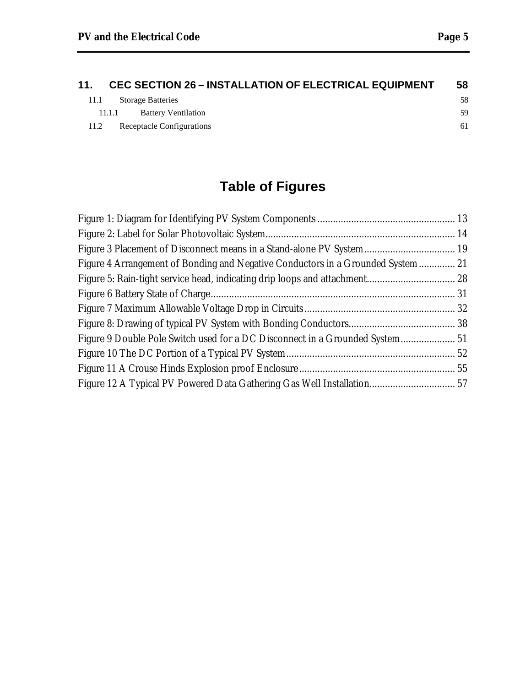| 11.  | <b>CEC SECTION 26 - INSTALLATION OF ELECTRICAL EQUIPMENT</b> | 58 |
|------|--------------------------------------------------------------|----|
| 11.1 | <b>Storage Batteries</b>                                     | 58 |
|      | <b>Battery Ventilation</b><br>11.1.1                         | 59 |
| 11.2 | Receptacle Configurations                                    | 61 |

# **Table of Figures**

| Figure 3 Placement of Disconnect means in a Stand-alone PV System 19            |  |
|---------------------------------------------------------------------------------|--|
| Figure 4 Arrangement of Bonding and Negative Conductors in a Grounded System 21 |  |
| Figure 5: Rain-tight service head, indicating drip loops and attachment 28      |  |
|                                                                                 |  |
|                                                                                 |  |
|                                                                                 |  |
| Figure 9 Double Pole Switch used for a DC Disconnect in a Grounded System 51    |  |
|                                                                                 |  |
|                                                                                 |  |
| Figure 12 A Typical PV Powered Data Gathering Gas Well Installation 57          |  |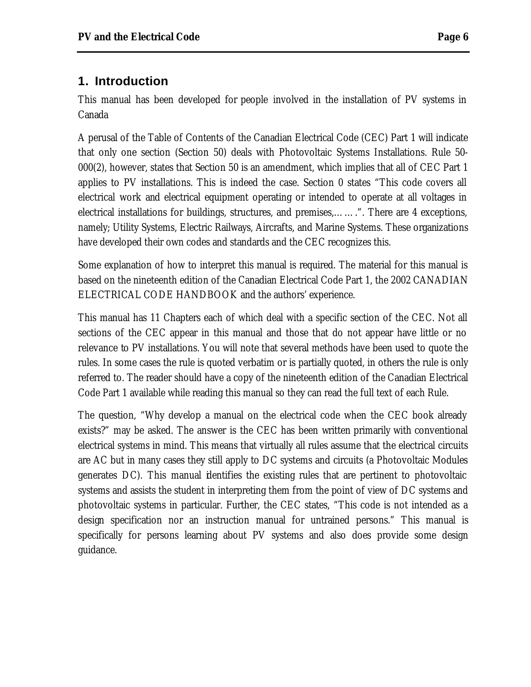# **1. Introduction**

This manual has been developed for people involved in the installation of PV systems in Canada

A perusal of the Table of Contents of the Canadian Electrical Code (CEC) Part 1 will indicate that only one section (Section 50) deals with Photovoltaic Systems Installations. Rule 50- 000(2), however, states that Section 50 is an amendment, which implies that all of CEC Part 1 applies to PV installations. This is indeed the case. Section 0 states "This code covers all electrical work and electrical equipment operating or intended to operate at all voltages in electrical installations for buildings, structures, and premises,…….". There are 4 exceptions, namely; Utility Systems, Electric Railways, Aircrafts, and Marine Systems. These organizations have developed their own codes and standards and the CEC recognizes this.

Some explanation of how to interpret this manual is required. The material for this manual is based on the nineteenth edition of the Canadian Electrical Code Part 1, the 2002 CANADIAN ELECTRICAL CODE HANDBOOK and the authors' experience.

This manual has 11 Chapters each of which deal with a specific section of the CEC. Not all sections of the CEC appear in this manual and those that do not appear have little or no relevance to PV installations. You will note that several methods have been used to quote the rules. In some cases the rule is quoted verbatim or is partially quoted, in others the rule is only referred to. The reader should have a copy of the nineteenth edition of the Canadian Electrical Code Part 1 available while reading this manual so they can read the full text of each Rule.

The question, "Why develop a manual on the electrical code when the CEC book already exists?" may be asked. The answer is the CEC has been written primarily with conventional electrical systems in mind. This means that virtually all rules assume that the electrical circuits are AC but in many cases they still apply to DC systems and circuits (a Photovoltaic Modules generates DC). This manual identifies the existing rules that are pertinent to photovoltaic systems and assists the student in interpreting them from the point of view of DC systems and photovoltaic systems in particular. Further, the CEC states, "This code is not intended as a design specification nor an instruction manual for untrained persons." This manual is specifically for persons learning about PV systems and also does provide some design guidance.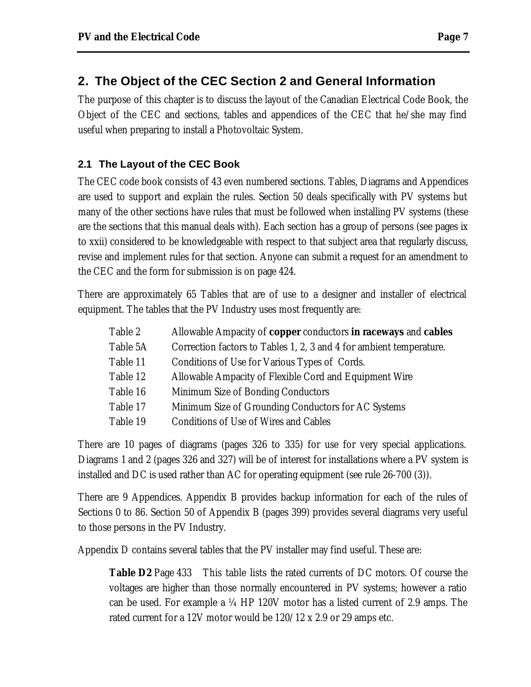# **2. The Object of the CEC Section 2 and General Information**

The purpose of this chapter is to discuss the layout of the Canadian Electrical Code Book, the Object of the CEC and sections, tables and appendices of the CEC that he/she may find useful when preparing to install a Photovoltaic System.

### **2.1 The Layout of the CEC Book**

The CEC code book consists of 43 even numbered sections. Tables, Diagrams and Appendices are used to support and explain the rules. Section 50 deals specifically with PV systems but many of the other sections have rules that must be followed when installing PV systems (these are the sections that this manual deals with). Each section has a group of persons (see pages ix to xxii) considered to be knowledgeable with respect to that subject area that regularly discuss, revise and implement rules for that section. Anyone can submit a request for an amendment to the CEC and the form for submission is on page 424.

There are approximately 65 Tables that are of use to a designer and installer of electrical equipment. The tables that the PV Industry uses most frequently are:

| Table 2  | Allowable Ampacity of <b>copper</b> conductors <b>in raceways</b> and <b>cables</b> |
|----------|-------------------------------------------------------------------------------------|
| Table 5A | Correction factors to Tables 1, 2, 3 and 4 for ambient temperature.                 |
| Table 11 | Conditions of Use for Various Types of Cords.                                       |
| Table 12 | Allowable Ampacity of Flexible Cord and Equipment Wire                              |
| Table 16 | Minimum Size of Bonding Conductors                                                  |
| Table 17 | Minimum Size of Grounding Conductors for AC Systems                                 |
| Table 19 | <b>Conditions of Use of Wires and Cables</b>                                        |

There are 10 pages of diagrams (pages 326 to 335) for use for very special applications. Diagrams 1 and 2 (pages 326 and 327) will be of interest for installations where a PV system is installed and DC is used rather than AC for operating equipment (see rule 26-700 (3)).

There are 9 Appendices. Appendix B provides backup information for each of the rules of Sections 0 to 86. Section 50 of Appendix B (pages 399) provides several diagrams very useful to those persons in the PV Industry.

Appendix D contains several tables that the PV installer may find useful. These are:

**Table D2** Page 433 This table lists the rated currents of DC motors. Of course the voltages are higher than those normally encountered in PV systems; however a ratio can be used. For example a ¼ HP 120V motor has a listed current of 2.9 amps. The rated current for a 12V motor would be 120/12 x 2.9 or 29 amps etc.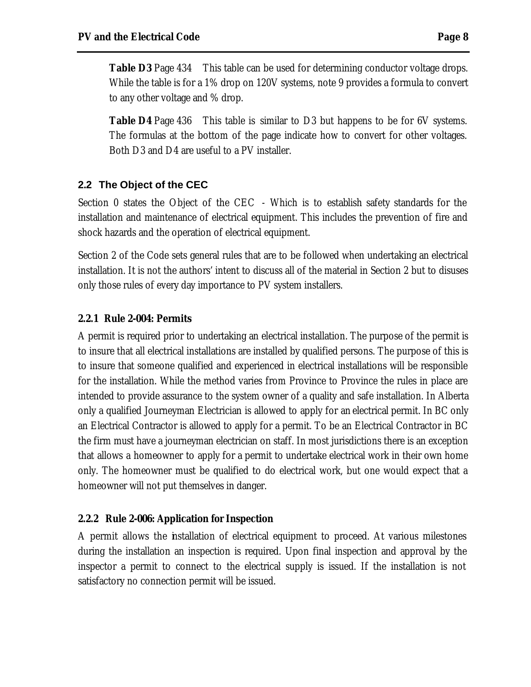**Table D3** Page 434 This table can be used for determining conductor voltage drops. While the table is for a 1% drop on 120V systems, note 9 provides a formula to convert to any other voltage and % drop.

**Table D4** Page 436 This table is similar to D3 but happens to be for 6V systems. The formulas at the bottom of the page indicate how to convert for other voltages. Both D3 and D4 are useful to a PV installer.

#### **2.2 The Object of the CEC**

Section 0 states the Object of the CEC - Which is to establish safety standards for the installation and maintenance of electrical equipment. This includes the prevention of fire and shock hazards and the operation of electrical equipment.

Section 2 of the Code sets general rules that are to be followed when undertaking an electrical installation. It is not the authors' intent to discuss all of the material in Section 2 but to disuses only those rules of every day importance to PV system installers.

#### **2.2.1 Rule 2-004: Permits**

A permit is required prior to undertaking an electrical installation. The purpose of the permit is to insure that all electrical installations are installed by qualified persons. The purpose of this is to insure that someone qualified and experienced in electrical installations will be responsible for the installation. While the method varies from Province to Province the rules in place are intended to provide assurance to the system owner of a quality and safe installation. In Alberta only a qualified Journeyman Electrician is allowed to apply for an electrical permit. In BC only an Electrical Contractor is allowed to apply for a permit. To be an Electrical Contractor in BC the firm must have a journeyman electrician on staff. In most jurisdictions there is an exception that allows a homeowner to apply for a permit to undertake electrical work in their own home only. The homeowner must be qualified to do electrical work, but one would expect that a homeowner will not put themselves in danger.

#### **2.2.2 Rule 2-006: Application for Inspection**

A permit allows the installation of electrical equipment to proceed. At various milestones during the installation an inspection is required. Upon final inspection and approval by the inspector a permit to connect to the electrical supply is issued. If the installation is not satisfactory no connection permit will be issued.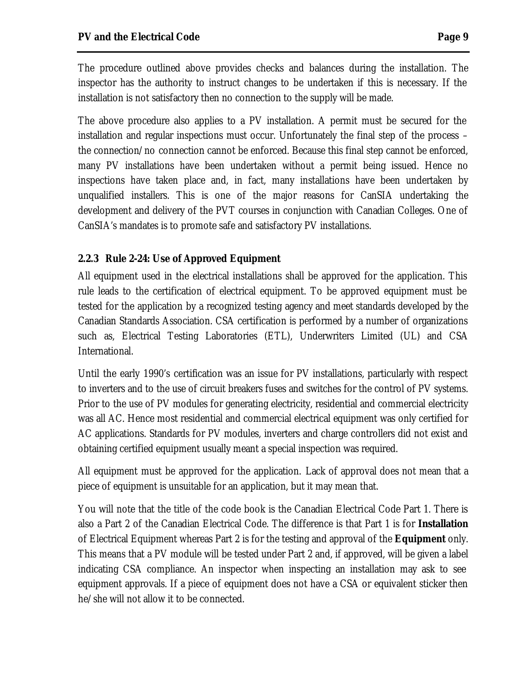The procedure outlined above provides checks and balances during the installation. The inspector has the authority to instruct changes to be undertaken if this is necessary. If the installation is not satisfactory then no connection to the supply will be made.

The above procedure also applies to a PV installation. A permit must be secured for the installation and regular inspections must occur. Unfortunately the final step of the process – the connection/no connection cannot be enforced. Because this final step cannot be enforced, many PV installations have been undertaken without a permit being issued. Hence no inspections have taken place and, in fact, many installations have been undertaken by unqualified installers. This is one of the major reasons for CanSIA undertaking the development and delivery of the PVT courses in conjunction with Canadian Colleges. One of CanSIA's mandates is to promote safe and satisfactory PV installations.

#### **2.2.3 Rule 2-24: Use of Approved Equipment**

All equipment used in the electrical installations shall be approved for the application. This rule leads to the certification of electrical equipment. To be approved equipment must be tested for the application by a recognized testing agency and meet standards developed by the Canadian Standards Association. CSA certification is performed by a number of organizations such as, Electrical Testing Laboratories (ETL), Underwriters Limited (UL) and CSA International.

Until the early 1990's certification was an issue for PV installations, particularly with respect to inverters and to the use of circuit breakers fuses and switches for the control of PV systems. Prior to the use of PV modules for generating electricity, residential and commercial electricity was all AC. Hence most residential and commercial electrical equipment was only certified for AC applications. Standards for PV modules, inverters and charge controllers did not exist and obtaining certified equipment usually meant a special inspection was required.

All equipment must be approved for the application. Lack of approval does not mean that a piece of equipment is unsuitable for an application, but it may mean that.

You will note that the title of the code book is the Canadian Electrical Code Part 1. There is also a Part 2 of the Canadian Electrical Code. The difference is that Part 1 is for *Installation*  of Electrical Equipment whereas Part 2 is for the testing and approval of the *Equipment* only. This means that a PV module will be tested under Part 2 and, if approved, will be given a label indicating CSA compliance. An inspector when inspecting an installation may ask to see equipment approvals. If a piece of equipment does not have a CSA or equivalent sticker then he/she will not allow it to be connected.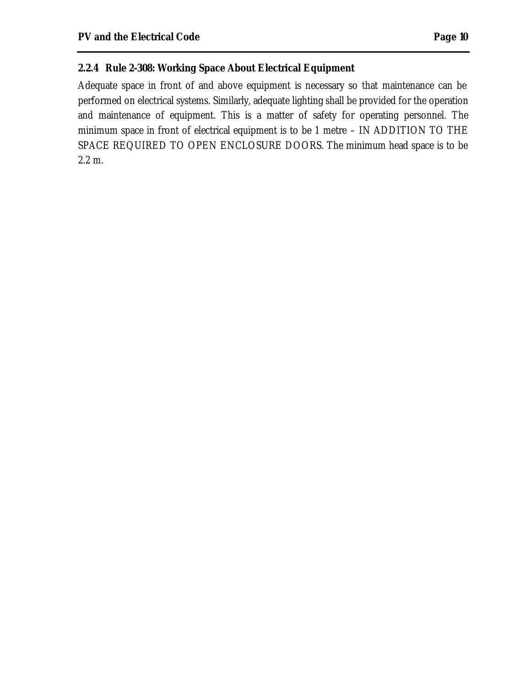#### **2.2.4 Rule 2-308: Working Space About Electrical Equipment**

Adequate space in front of and above equipment is necessary so that maintenance can be performed on electrical systems. Similarly, adequate lighting shall be provided for the operation and maintenance of equipment. This is a matter of safety for operating personnel. The minimum space in front of electrical equipment is to be 1 metre – IN ADDITION TO THE SPACE REQUIRED TO OPEN ENCLOSURE DOORS. The minimum head space is to be 2.2 m.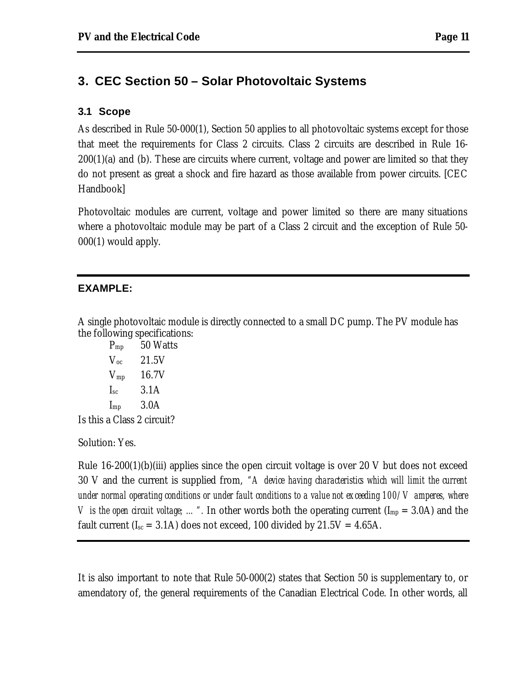# **3. CEC Section 50 – Solar Photovoltaic Systems**

#### **3.1 Scope**

As described in Rule 50-000(1), Section 50 applies to all photovoltaic systems except for those that meet the requirements for Class 2 circuits. Class 2 circuits are described in Rule 16-  $200(1)(a)$  and (b). These are circuits where current, voltage and power are limited so that they do not present as great a shock and fire hazard as those available from power circuits. [CEC Handbook]

Photovoltaic modules are current, voltage and power limited so there are many situations where a photovoltaic module may be part of a Class 2 circuit and the exception of Rule 50- 000(1) would apply.

#### **EXAMPLE:**

A single photovoltaic module is directly connected to a small DC pump. The PV module has the following specifications:

| $P_{mp}$                   | 50 Watts |
|----------------------------|----------|
| $V_{\alpha c}$             | 21.5V    |
| $V_{mp}$                   | 16.7V    |
| $I_{sc}$                   | 3.1A     |
| $I_{mp}$                   | 3.0A     |
| Is this a Class 2 circuit? |          |

Solution: Yes.

Rule 16-200(1)(b)(iii) applies since the open circuit voltage is over 20 V but does not exceed 30 V and the current is supplied from, *"A device having characteristics which will limit the current under normal operating conditions or under fault conditions to a value not exceeding 100/V amperes, where V* is the open circuit voltage; ...". In other words both the operating current (I<sub>mp</sub> = 3.0A) and the fault current ( $I_{sc}$  = 3.1A) does not exceed, 100 divided by 21.5V = 4.65A.

It is also important to note that Rule 50-000(2) states that Section 50 is supplementary to, or amendatory of, the general requirements of the Canadian Electrical Code. In other words, all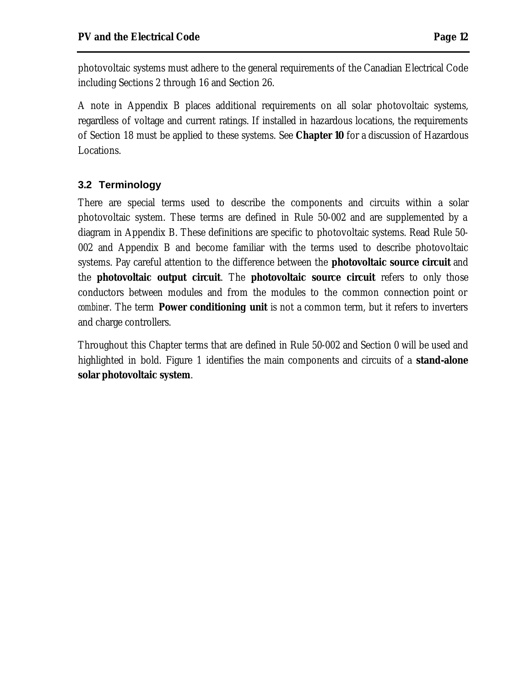photovoltaic systems must adhere to the general requirements of the Canadian Electrical Code including Sections 2 through 16 and Section 26.

A note in Appendix B places additional requirements on all solar photovoltaic systems, regardless of voltage and current ratings. If installed in hazardous locations, the requirements of Section 18 must be applied to these systems. See *Chapter 10* for a discussion of Hazardous Locations.

# **3.2 Terminology**

There are special terms used to describe the components and circuits within a solar photovoltaic system. These terms are defined in Rule 50-002 and are supplemented by a diagram in Appendix B. These definitions are specific to photovoltaic systems. Read Rule 50- 002 and Appendix B and become familiar with the terms used to describe photovoltaic systems. Pay careful attention to the difference between the **photovoltaic source circuit** and the **photovoltaic output circuit**. The **photovoltaic source circuit** refers to only those conductors between modules and from the modules to the common connection point or *combiner*. The term **Power conditioning unit** is not a common term, but it refers to inverters and charge controllers.

Throughout this Chapter terms that are defined in Rule 50-002 and Section 0 will be used and highlighted in bold. Figure 1 identifies the main components and circuits of a **stand-alone solar photovoltaic system**.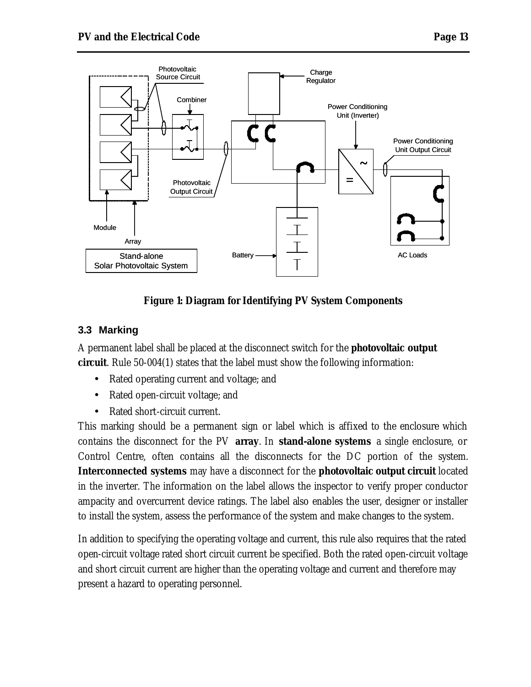

**Figure 1: Diagram for Identifying PV System Components**

#### **3.3 Marking**

A permanent label shall be placed at the disconnect switch for the **photovoltaic output circuit**. Rule 50-004(1) states that the label must show the following information:

- Rated operating current and voltage; and
- Rated open-circuit voltage; and
- Rated short-circuit current.

This marking should be a permanent sign or label which is affixed to the enclosure which contains the disconnect for the PV **array**. In **stand-alone systems** a single enclosure, or Control Centre, often contains all the disconnects for the DC portion of the system. **Interconnected systems** may have a disconnect for the **photovoltaic output circuit** located in the inverter. The information on the label allows the inspector to verify proper conductor ampacity and overcurrent device ratings. The label also enables the user, designer or installer to install the system, assess the performance of the system and make changes to the system.

In addition to specifying the operating voltage and current, this rule also requires that the rated open-circuit voltage rated short circuit current be specified. Both the rated open-circuit voltage and short circuit current are higher than the operating voltage and current and therefore may present a hazard to operating personnel.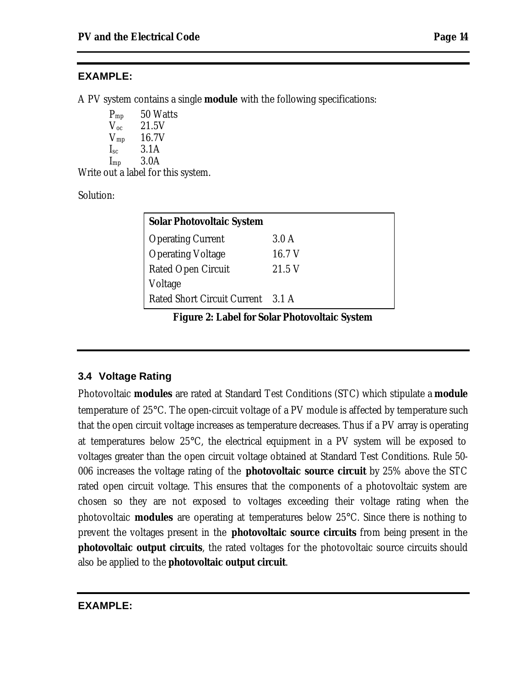#### **EXAMPLE:**

A PV system contains a single **module** with the following specifications:

P<sub>mp</sub> 50 Watts  $V_{\rm oc}$  21.5V  $V_{mp}$  16.7V  $I_{\rm sc}$  3.1A  $I_{mp}$  3.0A

Write out a label for this system.

Solution:

| <b>Solar Photovoltaic System</b>  |        |  |
|-----------------------------------|--------|--|
| <b>Operating Current</b>          | 3.0 A  |  |
| <b>Operating Voltage</b>          | 16.7 V |  |
| <b>Rated Open Circuit</b>         | 21.5 V |  |
| Voltage                           |        |  |
| Rated Short Circuit Current 3.1 A |        |  |

**Figure 2: Label for Solar Photovoltaic System**

#### **3.4 Voltage Rating**

Photovoltaic **modules** are rated at Standard Test Conditions (STC) which stipulate a **module** temperature of 25°C. The open-circuit voltage of a PV module is affected by temperature such that the open circuit voltage increases as temperature decreases. Thus if a PV array is operating at temperatures below 25°C, the electrical equipment in a PV system will be exposed to voltages greater than the open circuit voltage obtained at Standard Test Conditions. Rule 50- 006 increases the voltage rating of the **photovoltaic source circuit** by 25% above the STC rated open circuit voltage. This ensures that the components of a photovoltaic system are chosen so they are not exposed to voltages exceeding their voltage rating when the photovoltaic **modules** are operating at temperatures below 25°C. Since there is nothing to prevent the voltages present in the **photovoltaic source circuits** from being present in the **photovoltaic output circuits**, the rated voltages for the photovoltaic source circuits should also be applied to the **photovoltaic output circuit**.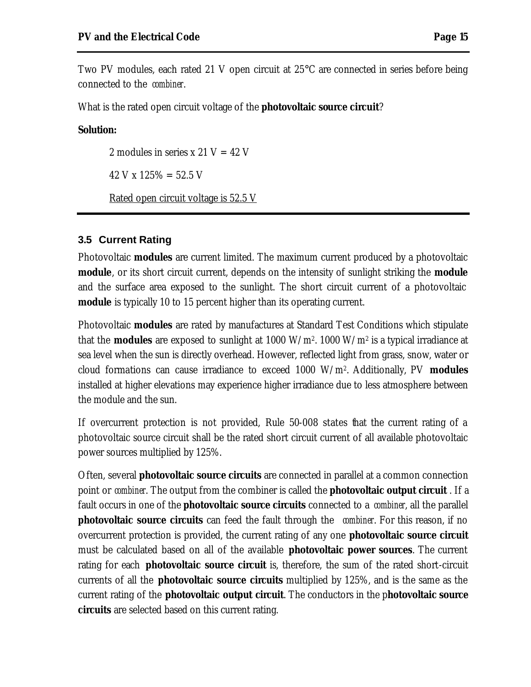Two PV modules, each rated 21 V open circuit at 25°C are connected in series before being connected to the *combiner*.

What is the rated open circuit voltage of the **photovoltaic source circuit**?

#### **Solution:**

2 modules in series x 21  $V = 42 V$  $42$  V x  $125\% = 52.5$  V Rated open circuit voltage is 52.5 V

#### **3.5 Current Rating**

Photovoltaic **modules** are current limited. The maximum current produced by a photovoltaic **module**, or its short circuit current, depends on the intensity of sunlight striking the **module** and the surface area exposed to the sunlight. The short circuit current of a photovoltaic **module** is typically 10 to 15 percent higher than its operating current.

Photovoltaic **modules** are rated by manufactures at Standard Test Conditions which stipulate that the **modules** are exposed to sunlight at 1000 W/m<sup>2</sup> . 1000 W/m<sup>2</sup> is a typical irradiance at sea level when the sun is directly overhead. However, reflected light from grass, snow, water or cloud formations can cause irradiance to exceed 1000 W/m<sup>2</sup> . Additionally, PV **modules** installed at higher elevations may experience higher irradiance due to less atmosphere between the module and the sun.

If overcurrent protection is not provided, Rule 50-008 states that the current rating of a photovoltaic source circuit shall be the rated short circuit current of all available photovoltaic power sources multiplied by 125%.

Often, several **photovoltaic source circuits** are connected in parallel at a common connection point or *combiner*. The output from the combiner is called the **photovoltaic output circuit** . If a fault occurs in one of the **photovoltaic source circuits** connected to a *combiner*, all the parallel **photovoltaic source circuits** can feed the fault through the *combiner*. For this reason, if no overcurrent protection is provided, the current rating of any one **photovoltaic source circuit** must be calculated based on all of the available **photovoltaic power sources**. The current rating for each **photovoltaic source circuit** is, therefore, the sum of the rated short-circuit currents of all the **photovoltaic source circuits** multiplied by 125%, and is the same as the current rating of the **photovoltaic output circuit**. The conductors in the p**hotovoltaic source circuits** are selected based on this current rating.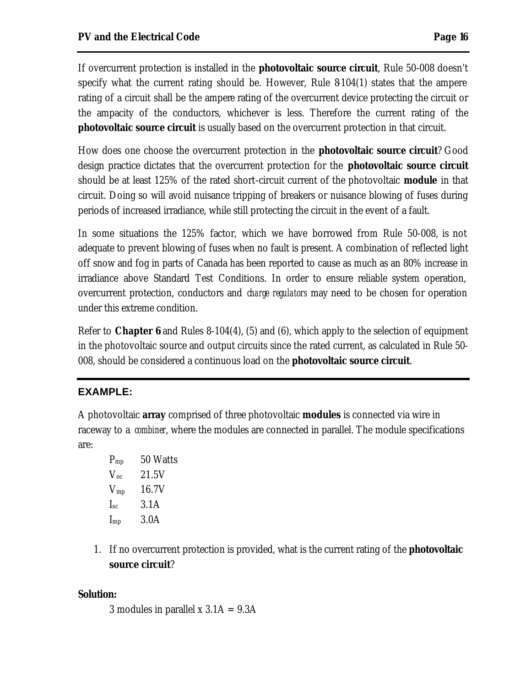If overcurrent protection is installed in the **photovoltaic source circuit**, Rule 50-008 doesn't specify what the current rating should be. However, Rule 8-104(1) states that the ampere rating of a circuit shall be the ampere rating of the overcurrent device protecting the circuit or the ampacity of the conductors, whichever is less. Therefore the current rating of the **photovoltaic source circuit** is usually based on the overcurrent protection in that circuit.

How does one choose the overcurrent protection in the **photovoltaic source circuit**? Good design practice dictates that the overcurrent protection for the **photovoltaic source circuit** should be at least 125% of the rated short-circuit current of the photovoltaic **module** in that circuit. Doing so will avoid nuisance tripping of breakers or nuisance blowing of fuses during periods of increased irradiance, while still protecting the circuit in the event of a fault.

In some situations the 125% factor, which we have borrowed from Rule 50-008, is not adequate to prevent blowing of fuses when no fault is present. A combination of reflected light off snow and fog in parts of Canada has been reported to cause as much as an 80% increase in irradiance above Standard Test Conditions. In order to ensure reliable system operation, overcurrent protection, conductors and *charge regulators* may need to be chosen for operation under this extreme condition.

Refer to *Chapter 6* and Rules 8-104(4), (5) and (6), which apply to the selection of equipment in the photovoltaic source and output circuits since the rated current, as calculated in Rule 50- 008, should be considered a continuous load on the **photovoltaic source circuit**.

# **EXAMPLE:**

A photovoltaic **array** comprised of three photovoltaic **modules** is connected via wire in raceway to a *combiner*, where the modules are connected in parallel. The module specifications are:

- $P_{mn}$  50 Watts  $V_{\rm oc}$  21.5V  $V_{mp}$  16.7V  $I_{\rm sc}$  3.1A  $I_{mp}$  3.0A
- 1. If no overcurrent protection is provided, what is the current rating of the **photovoltaic source circuit**?

#### **Solution:**

3 modules in parallel  $x$  3.1A = 9.3A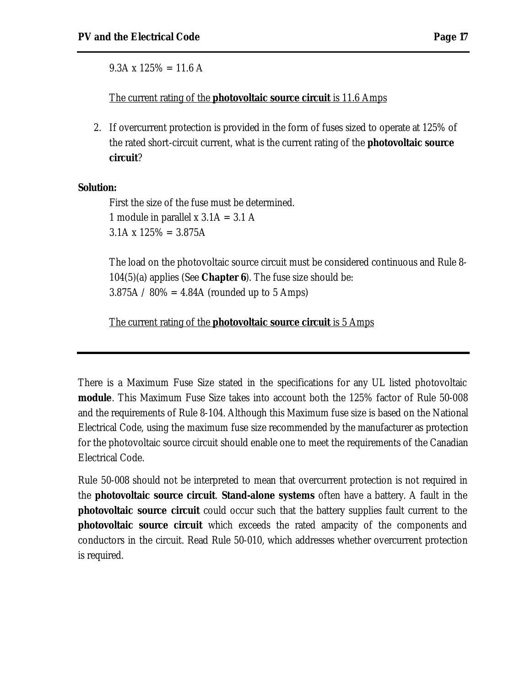$9.3A \times 125\% = 11.6 A$ 

The current rating of the **photovoltaic source circuit** is 11.6 Amps

2. If overcurrent protection is provided in the form of fuses sized to operate at 125% of the rated short-circuit current, what is the current rating of the **photovoltaic source circuit**?

#### **Solution:**

First the size of the fuse must be determined. 1 module in parallel x  $3.1A = 3.1A$  $3.1A \times 125\% = 3.875A$ 

The load on the photovoltaic source circuit must be considered continuous and Rule 8- 104(5)(a) applies (See *Chapter 6*). The fuse size should be:  $3.875A / 80\% = 4.84A$  (rounded up to 5 Amps)

The current rating of the **photovoltaic source circuit** is 5 Amps

There is a Maximum Fuse Size stated in the specifications for any UL listed photovoltaic **module**. This Maximum Fuse Size takes into account both the 125% factor of Rule 50-008 and the requirements of Rule 8-104. Although this Maximum fuse size is based on the National Electrical Code, using the maximum fuse size recommended by the manufacturer as protection for the photovoltaic source circuit should enable one to meet the requirements of the Canadian Electrical Code.

Rule 50-008 should not be interpreted to mean that overcurrent protection is not required in the **photovoltaic source circuit**. **Stand-alone systems** often have a battery. A fault in the **photovoltaic source circuit** could occur such that the battery supplies fault current to the **photovoltaic source circuit** which exceeds the rated ampacity of the components and conductors in the circuit. Read Rule 50-010, which addresses whether overcurrent protection is required.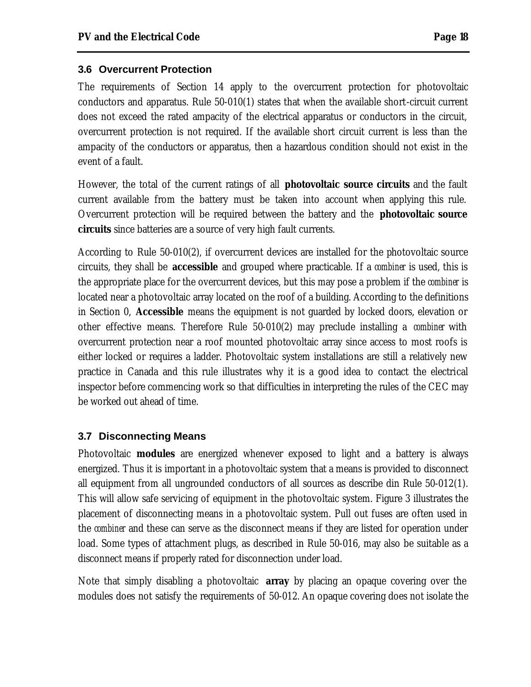#### **3.6 Overcurrent Protection**

The requirements of Section 14 apply to the overcurrent protection for photovoltaic conductors and apparatus. Rule 50-010(1) states that when the available short-circuit current does not exceed the rated ampacity of the electrical apparatus or conductors in the circuit, overcurrent protection is not required. If the available short circuit current is less than the ampacity of the conductors or apparatus, then a hazardous condition should not exist in the event of a fault.

However, the total of the current ratings of all **photovoltaic source circuits** and the fault current available from the battery must be taken into account when applying this rule. Overcurrent protection will be required between the battery and the **photovoltaic source circuits** since batteries are a source of very high fault currents.

According to Rule 50-010(2), if overcurrent devices are installed for the photovoltaic source circuits, they shall be **accessible** and grouped where practicable. If a *combiner* is used, this is the appropriate place for the overcurrent devices, but this may pose a problem if the *combiner* is located near a photovoltaic array located on the roof of a building. According to the definitions in Section 0, **Accessible** means the equipment is not guarded by locked doors, elevation or other effective means. Therefore Rule 50-010(2) may preclude installing a *combiner* with overcurrent protection near a roof mounted photovoltaic array since access to most roofs is either locked or requires a ladder. Photovoltaic system installations are still a relatively new practice in Canada and this rule illustrates why it is a good idea to contact the electrical inspector before commencing work so that difficulties in interpreting the rules of the CEC may be worked out ahead of time.

#### **3.7 Disconnecting Means**

Photovoltaic **modules** are energized whenever exposed to light and a battery is always energized. Thus it is important in a photovoltaic system that a means is provided to disconnect all equipment from all ungrounded conductors of all sources as describe din Rule 50-012(1). This will allow safe servicing of equipment in the photovoltaic system. Figure 3 illustrates the placement of disconnecting means in a photovoltaic system. Pull out fuses are often used in the *combiner* and these can serve as the disconnect means if they are listed for operation under load. Some types of attachment plugs, as described in Rule 50-016, may also be suitable as a disconnect means if properly rated for disconnection under load.

Note that simply disabling a photovoltaic **array** by placing an opaque covering over the modules does not satisfy the requirements of 50-012. An opaque covering does not isolate the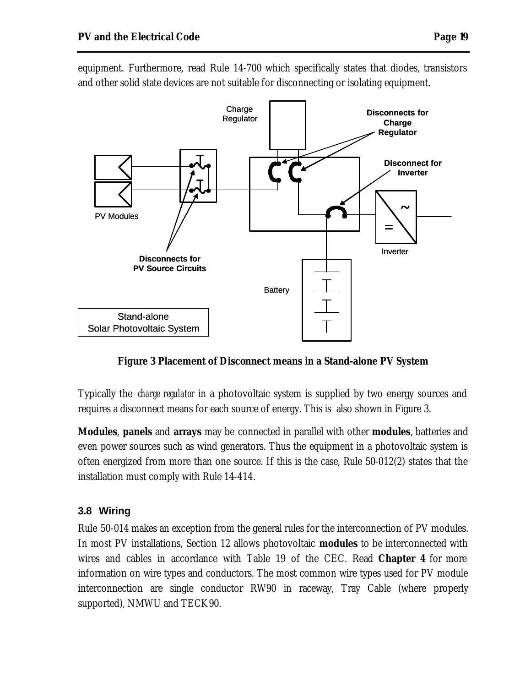

equipment. Furthermore, read Rule 14-700 which specifically states that diodes, transistors and other solid state devices are not suitable for disconnecting or isolating equipment.

**Figure 3 Placement of Disconnect means in a Stand-alone PV System**

Typically the *charge regulator* in a photovoltaic system is supplied by two energy sources and requires a disconnect means for each source of energy. This is also shown in Figure 3.

**Modules**, **panels** and **arrays** may be connected in parallel with other **modules**, batteries and even power sources such as wind generators. Thus the equipment in a photovoltaic system is often energized from more than one source. If this is the case, Rule 50-012(2) states that the installation must comply with Rule 14-414.

# **3.8 Wiring**

Rule 50-014 makes an exception from the general rules for the interconnection of PV modules. In most PV installations, Section 12 allows photovoltaic **modules** to be interconnected with wires and cables in accordance with Table 19 of the CEC. Read *Chapter 4* for more information on wire types and conductors. The most common wire types used for PV module interconnection are single conductor RW90 in raceway, Tray Cable (where properly supported), NMWU and TECK90.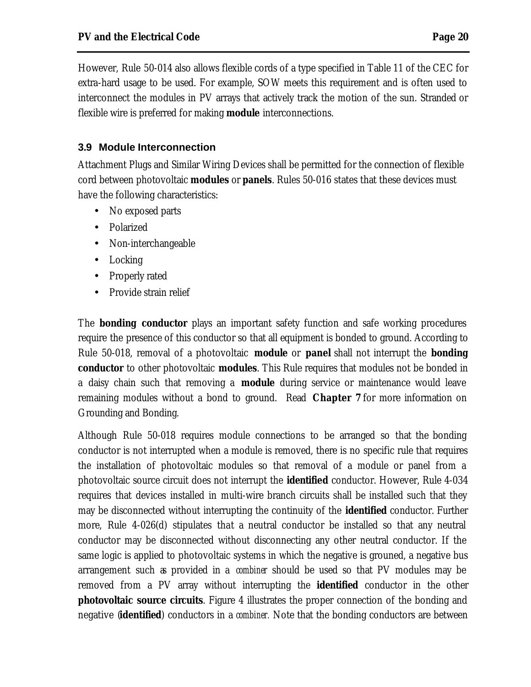However, Rule 50-014 also allows flexible cords of a type specified in Table 11 of the CEC for extra-hard usage to be used. For example, SOW meets this requirement and is often used to interconnect the modules in PV arrays that actively track the motion of the sun. Stranded or flexible wire is preferred for making **module** interconnections.

# **3.9 Module Interconnection**

Attachment Plugs and Similar Wiring Devices shall be permitted for the connection of flexible cord between photovoltaic **modules** or **panels**. Rules 50-016 states that these devices must have the following characteristics:

- No exposed parts
- Polarized
- Non-interchangeable
- Locking
- Properly rated
- Provide strain relief

The **bonding conductor** plays an important safety function and safe working procedures require the presence of this conductor so that all equipment is bonded to ground. According to Rule 50-018, removal of a photovoltaic **module** or **panel** shall not interrupt the **bonding conductor** to other photovoltaic **modules**. This Rule requires that modules not be bonded in a daisy chain such that removing a **module** during service or maintenance would leave remaining modules without a bond to ground. Read *Chapter 7* for more information on Grounding and Bonding.

Although Rule 50-018 requires module connections to be arranged so that the bonding conductor is not interrupted when a module is removed, there is no specific rule that requires the installation of photovoltaic modules so that removal of a module or panel from a photovoltaic source circuit does not interrupt the **identified** conductor. However, Rule 4-034 requires that devices installed in multi-wire branch circuits shall be installed such that they may be disconnected without interrupting the continuity of the **identified** conductor. Further more, Rule 4-026(d) stipulates that a neutral conductor be installed so that any neutral conductor may be disconnected without disconnecting any other neutral conductor. If the same logic is applied to photovoltaic systems in which the negative is grouned, a negative bus arrangement such as provided in a *combiner* should be used so that PV modules may be removed from a PV array without interrupting the **identified** conductor in the other **photovoltaic source circuits**. Figure 4 illustrates the proper connection of the bonding and negative (**identified**) conductors in a *combiner.* Note that the bonding conductors are between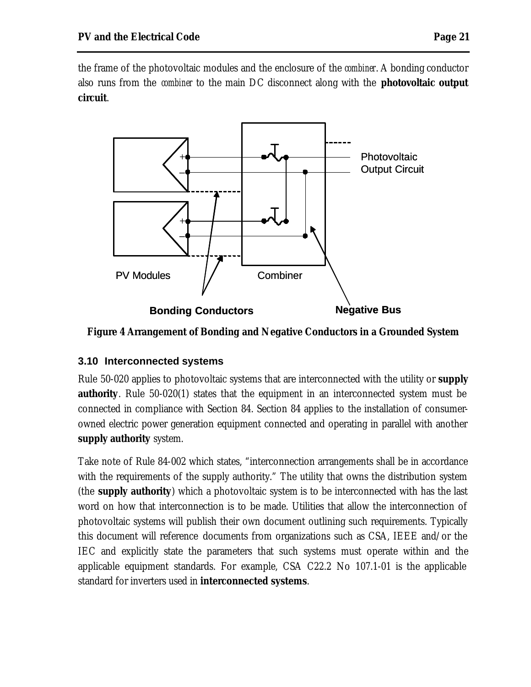the frame of the photovoltaic modules and the enclosure of the *combiner*. A bonding conductor also runs from the *combiner* to the main DC disconnect along with the **photovoltaic output circuit**.



**Figure 4 Arrangement of Bonding and Negative Conductors in a Grounded System**

# **3.10 Interconnected systems**

Rule 50-020 applies to photovoltaic systems that are interconnected with the utility or **supply authority**. Rule 50-020(1) states that the equipment in an interconnected system must be connected in compliance with Section 84. Section 84 applies to the installation of consumerowned electric power generation equipment connected and operating in parallel with another **supply authority** system.

Take note of Rule 84-002 which states, "interconnection arrangements shall be in accordance with the requirements of the supply authority." The utility that owns the distribution system (the **supply authority**) which a photovoltaic system is to be interconnected with has the last word on how that interconnection is to be made. Utilities that allow the interconnection of photovoltaic systems will publish their own document outlining such requirements. Typically this document will reference documents from organizations such as CSA, IEEE and/or the IEC and explicitly state the parameters that such systems must operate within and the applicable equipment standards. For example, CSA C22.2 No 107.1-01 is the applicable standard for inverters used in **interconnected systems**.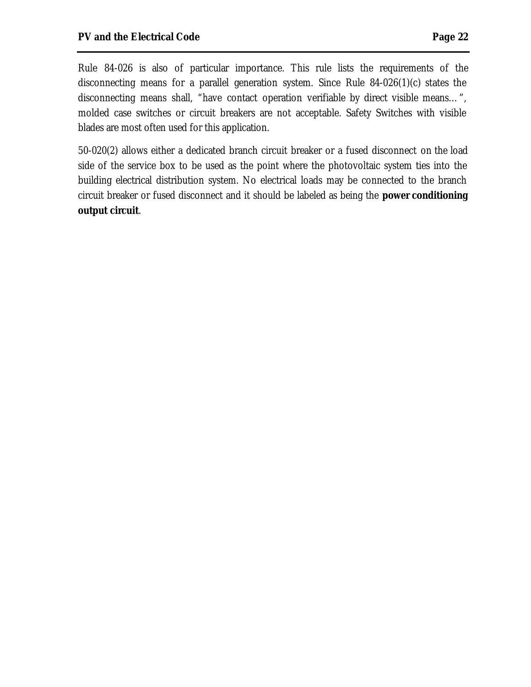Rule 84-026 is also of particular importance. This rule lists the requirements of the disconnecting means for a parallel generation system. Since Rule 84-026(1)(c) states the disconnecting means shall, "have contact operation verifiable by direct visible means…", molded case switches or circuit breakers are not acceptable. Safety Switches with visible blades are most often used for this application.

50-020(2) allows either a dedicated branch circuit breaker or a fused disconnect on the load side of the service box to be used as the point where the photovoltaic system ties into the building electrical distribution system. No electrical loads may be connected to the branch circuit breaker or fused disconnect and it should be labeled as being the **power conditioning output circuit**.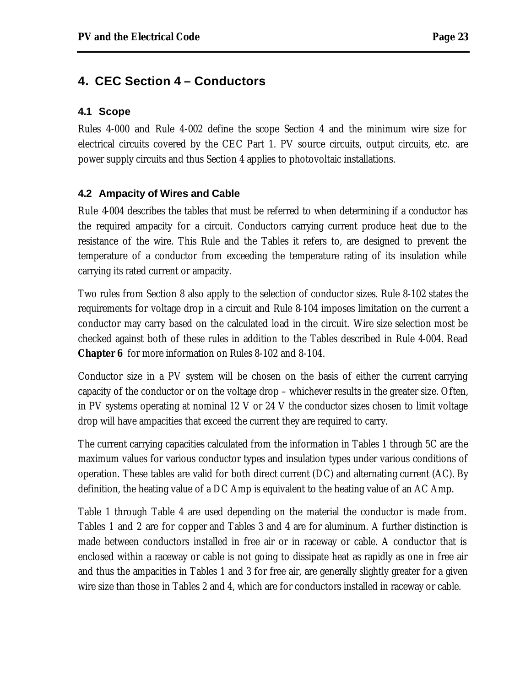# **4. CEC Section 4 – Conductors**

#### **4.1 Scope**

Rules 4-000 and Rule 4-002 define the scope Section 4 and the minimum wire size for electrical circuits covered by the CEC Part 1. PV source circuits, output circuits, etc. are power supply circuits and thus Section 4 applies to photovoltaic installations.

#### **4.2 Ampacity of Wires and Cable**

Rule 4-004 describes the tables that must be referred to when determining if a conductor has the required ampacity for a circuit. Conductors carrying current produce heat due to the resistance of the wire. This Rule and the Tables it refers to, are designed to prevent the temperature of a conductor from exceeding the temperature rating of its insulation while carrying its rated current or ampacity.

Two rules from Section 8 also apply to the selection of conductor sizes. Rule 8-102 states the requirements for voltage drop in a circuit and Rule 8-104 imposes limitation on the current a conductor may carry based on the calculated load in the circuit. Wire size selection most be checked against both of these rules in addition to the Tables described in Rule 4-004. Read *Chapter 6* for more information on Rules 8-102 and 8-104.

Conductor size in a PV system will be chosen on the basis of either the current carrying capacity of the conductor or on the voltage drop – whichever results in the greater size. Often, in PV systems operating at nominal 12 V or 24 V the conductor sizes chosen to limit voltage drop will have ampacities that exceed the current they are required to carry.

The current carrying capacities calculated from the information in Tables 1 through 5C are the maximum values for various conductor types and insulation types under various conditions of operation. These tables are valid for both direct current (DC) and alternating current (AC). By definition, the heating value of a DC Amp is equivalent to the heating value of an AC Amp.

Table 1 through Table 4 are used depending on the material the conductor is made from. Tables 1 and 2 are for copper and Tables 3 and 4 are for aluminum. A further distinction is made between conductors installed in free air or in raceway or cable. A conductor that is enclosed within a raceway or cable is not going to dissipate heat as rapidly as one in free air and thus the ampacities in Tables 1 and 3 for free air, are generally slightly greater for a given wire size than those in Tables 2 and 4, which are for conductors installed in raceway or cable.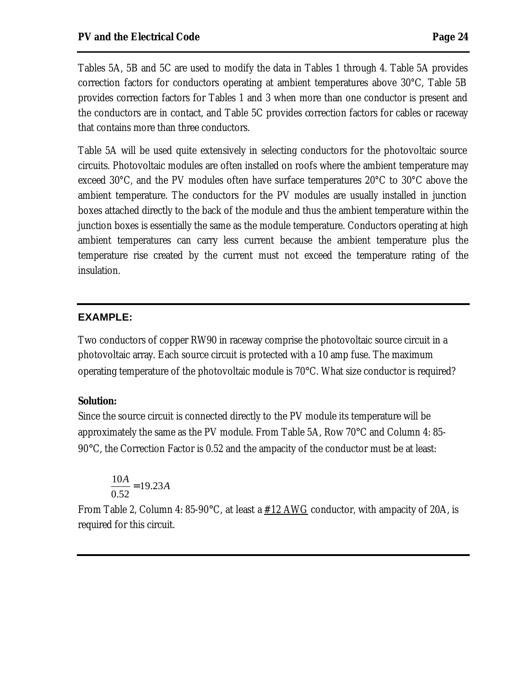Tables 5A, 5B and 5C are used to modify the data in Tables 1 through 4. Table 5A provides correction factors for conductors operating at ambient temperatures above 30°C, Table 5B provides correction factors for Tables 1 and 3 when more than one conductor is present and the conductors are in contact, and Table 5C provides correction factors for cables or raceway that contains more than three conductors.

Table 5A will be used quite extensively in selecting conductors for the photovoltaic source circuits. Photovoltaic modules are often installed on roofs where the ambient temperature may exceed 30°C, and the PV modules often have surface temperatures 20°C to 30°C above the ambient temperature. The conductors for the PV modules are usually installed in junction boxes attached directly to the back of the module and thus the ambient temperature within the junction boxes is essentially the same as the module temperature. Conductors operating at high ambient temperatures can carry less current because the ambient temperature plus the temperature rise created by the current must not exceed the temperature rating of the insulation.

#### **EXAMPLE:**

Two conductors of copper RW90 in raceway comprise the photovoltaic source circuit in a photovoltaic array. Each source circuit is protected with a 10 amp fuse. The maximum operating temperature of the photovoltaic module is 70°C. What size conductor is required?

#### **Solution:**

Since the source circuit is connected directly to the PV module its temperature will be approximately the same as the PV module. From Table 5A, Row 70°C and Column 4: 85- 90°C, the Correction Factor is 0.52 and the ampacity of the conductor must be at least:

$$
\frac{10A}{0.52} = 19.23A
$$

From Table 2, Column 4: 85-90°C, at least a  $#12$  AWG conductor, with ampacity of 20A, is required for this circuit.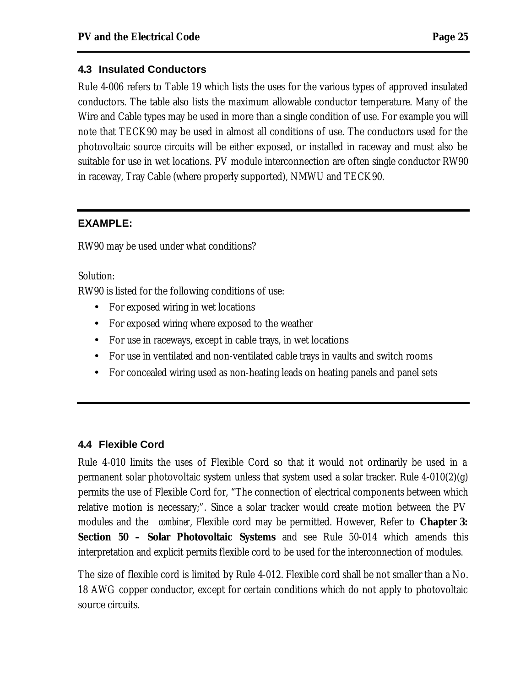#### **4.3 Insulated Conductors**

Rule 4-006 refers to Table 19 which lists the uses for the various types of approved insulated conductors. The table also lists the maximum allowable conductor temperature. Many of the Wire and Cable types may be used in more than a single condition of use. For example you will note that TECK90 may be used in almost all conditions of use. The conductors used for the photovoltaic source circuits will be either exposed, or installed in raceway and must also be suitable for use in wet locations. PV module interconnection are often single conductor RW90 in raceway, Tray Cable (where properly supported), NMWU and TECK90.

#### **EXAMPLE:**

RW90 may be used under what conditions?

Solution:

RW90 is listed for the following conditions of use:

- For exposed wiring in wet locations
- For exposed wiring where exposed to the weather
- For use in raceways, except in cable trays, in wet locations
- For use in ventilated and non-ventilated cable trays in vaults and switch rooms
- For concealed wiring used as non-heating leads on heating panels and panel sets

# **4.4 Flexible Cord**

Rule 4-010 limits the uses of Flexible Cord so that it would not ordinarily be used in a permanent solar photovoltaic system unless that system used a solar tracker. Rule 4-010(2)(g) permits the use of Flexible Cord for, "The connection of electrical components between which relative motion is necessary;". Since a solar tracker would create motion between the PV modules and the *combiner*, Flexible cord may be permitted. However, Refer to *Chapter 3: Section 50 – Solar Photovoltaic Systems* and see Rule 50-014 which amends this interpretation and explicit permits flexible cord to be used for the interconnection of modules.

The size of flexible cord is limited by Rule 4-012. Flexible cord shall be not smaller than a No. 18 AWG copper conductor, except for certain conditions which do not apply to photovoltaic source circuits.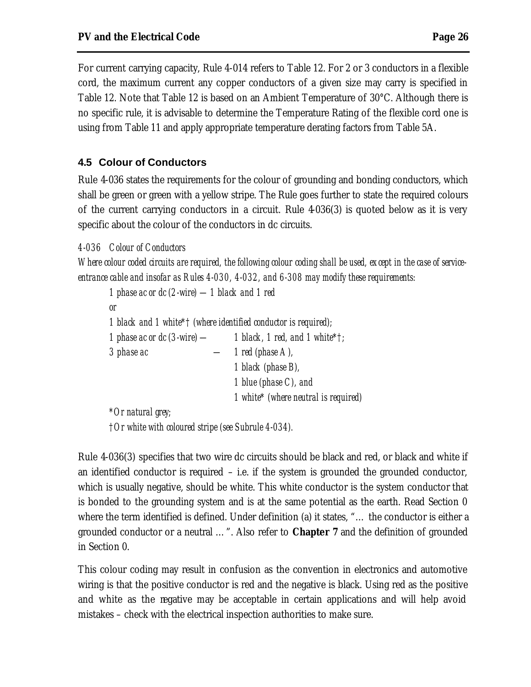For current carrying capacity, Rule 4-014 refers to Table 12. For 2 or 3 conductors in a flexible cord, the maximum current any copper conductors of a given size may carry is specified in Table 12. Note that Table 12 is based on an Ambient Temperature of 30°C. Although there is no specific rule, it is advisable to determine the Temperature Rating of the flexible cord one is using from Table 11 and apply appropriate temperature derating factors from Table 5A.

#### **4.5 Colour of Conductors**

Rule 4-036 states the requirements for the colour of grounding and bonding conductors, which shall be green or green with a yellow stripe. The Rule goes further to state the required colours of the current carrying conductors in a circuit. Rule 4-036(3) is quoted below as it is very specific about the colour of the conductors in dc circuits.

*4-036 Colour of Conductors*

*Where colour coded circuits are required, the following colour coding shall be used, except in the case of serviceentrance cable and insofar as Rules 4-030, 4-032, and 6-308 may modify these requirements:*

*1 phase ac or dc (2-wire) —1 black and 1 red or 1 black and 1 white\*† (where identified conductor is required); 1 phase ac or dc (3-wire) — 1 black, 1 red, and 1 white\*†; 3 phase ac — 1 red (phase A), 1 black (phase B), 1 blue (phase C), and 1 white\* (where neutral is required) \*Or natural grey; †Or white with coloured stripe (see Subrule 4-034).*

Rule 4-036(3) specifies that two wire dc circuits should be black and red, or black and white if an identified conductor is required – i.e. if the system is grounded the grounded conductor, which is usually negative, should be white. This white conductor is the system conductor that is bonded to the grounding system and is at the same potential as the earth. Read Section 0 where the term identified is defined. Under definition (a) it states, "… the conductor is either a grounded conductor or a neutral …". Also refer to *Chapter 7* and the definition of grounded in Section 0.

This colour coding may result in confusion as the convention in electronics and automotive wiring is that the positive conductor is red and the negative is black. Using red as the positive and white as the negative may be acceptable in certain applications and will help avoid mistakes – check with the electrical inspection authorities to make sure.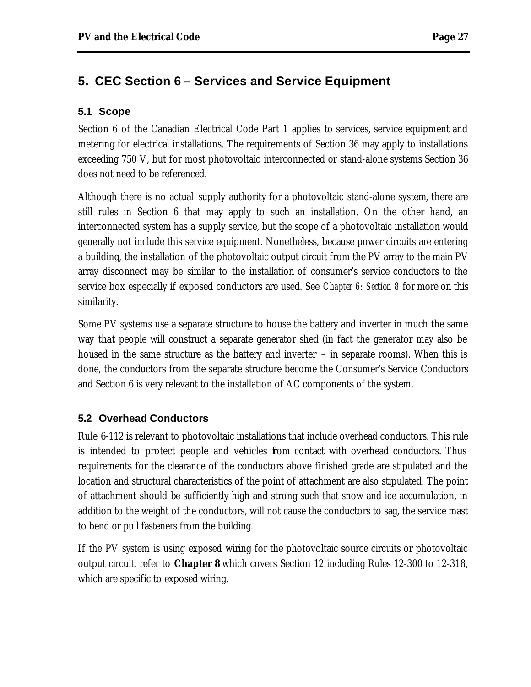# **5. CEC Section 6 – Services and Service Equipment**

#### **5.1 Scope**

Section 6 of the Canadian Electrical Code Part 1 applies to services, service equipment and metering for electrical installations. The requirements of Section 36 may apply to installations exceeding 750 V, but for most photovoltaic interconnected or stand-alone systems Section 36 does not need to be referenced.

Although there is no actual supply authority for a photovoltaic stand-alone system, there are still rules in Section 6 that may apply to such an installation. On the other hand, an interconnected system has a supply service, but the scope of a photovoltaic installation would generally not include this service equipment. Nonetheless, because power circuits are entering a building, the installation of the photovoltaic output circuit from the PV array to the main PV array disconnect may be similar to the installation of consumer's service conductors to the service box especially if exposed conductors are used. See *Chapter 6: Section 8* for more on this similarity.

Some PV systems use a separate structure to house the battery and inverter in much the same way that people will construct a separate generator shed (in fact the generator may also be housed in the same structure as the battery and inverter – in separate rooms). When this is done, the conductors from the separate structure become the Consumer's Service Conductors and Section 6 is very relevant to the installation of AC components of the system.

#### **5.2 Overhead Conductors**

Rule 6-112 is relevant to photovoltaic installations that include overhead conductors. This rule is intended to protect people and vehicles fom contact with overhead conductors. Thus requirements for the clearance of the conductors above finished grade are stipulated and the location and structural characteristics of the point of attachment are also stipulated. The point of attachment should be sufficiently high and strong such that snow and ice accumulation, in addition to the weight of the conductors, will not cause the conductors to sag, the service mast to bend or pull fasteners from the building.

If the PV system is using exposed wiring for the photovoltaic source circuits or photovoltaic output circuit, refer to *Chapter 8* which covers Section 12 including Rules 12-300 to 12-318, which are specific to exposed wiring.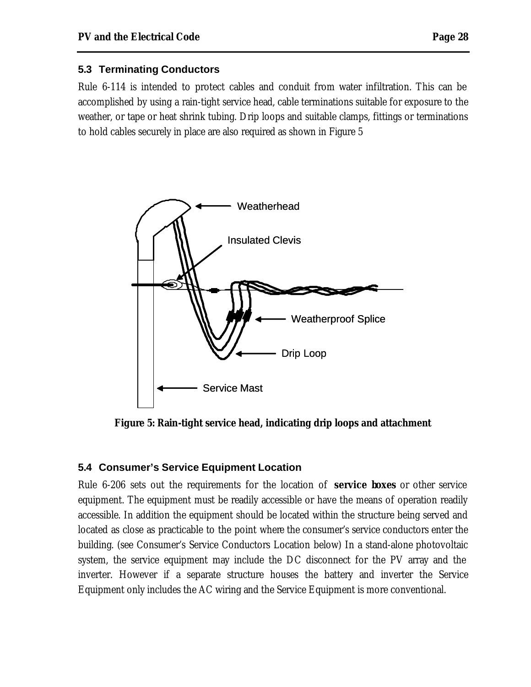#### **5.3 Terminating Conductors**

Rule 6-114 is intended to protect cables and conduit from water infiltration. This can be accomplished by using a rain-tight service head, cable terminations suitable for exposure to the weather, or tape or heat shrink tubing. Drip loops and suitable clamps, fittings or terminations to hold cables securely in place are also required as shown in Figure 5



**Figure 5: Rain-tight service head, indicating drip loops and attachment**

#### **5.4 Consumer's Service Equipment Location**

Rule 6-206 sets out the requirements for the location of **service boxes** or other service equipment. The equipment must be readily accessible or have the means of operation readily accessible. In addition the equipment should be located within the structure being served and located as close as practicable to the point where the consumer's service conductors enter the building. (see Consumer's Service Conductors Location below) In a stand-alone photovoltaic system, the service equipment may include the DC disconnect for the PV array and the inverter. However if a separate structure houses the battery and inverter the Service Equipment only includes the AC wiring and the Service Equipment is more conventional.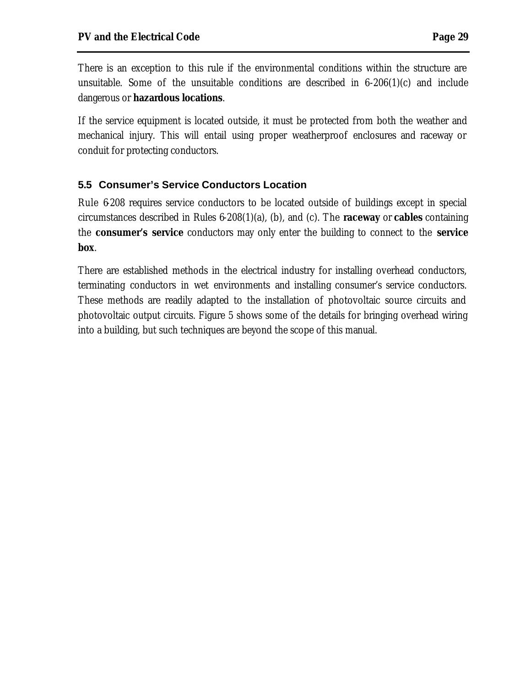There is an exception to this rule if the environmental conditions within the structure are unsuitable. Some of the unsuitable conditions are described in 6-206(1)(c) and include dangerous or **hazardous locations**.

If the service equipment is located outside, it must be protected from both the weather and mechanical injury. This will entail using proper weatherproof enclosures and raceway or conduit for protecting conductors.

# **5.5 Consumer's Service Conductors Location**

Rule 6-208 requires service conductors to be located outside of buildings except in special circumstances described in Rules 6-208(1)(a), (b), and (c). The **raceway** or **cables** containing the **consumer's service** conductors may only enter the building to connect to the **service box**.

There are established methods in the electrical industry for installing overhead conductors, terminating conductors in wet environments and installing consumer's service conductors. These methods are readily adapted to the installation of photovoltaic source circuits and photovoltaic output circuits. Figure 5 shows some of the details for bringing overhead wiring into a building, but such techniques are beyond the scope of this manual.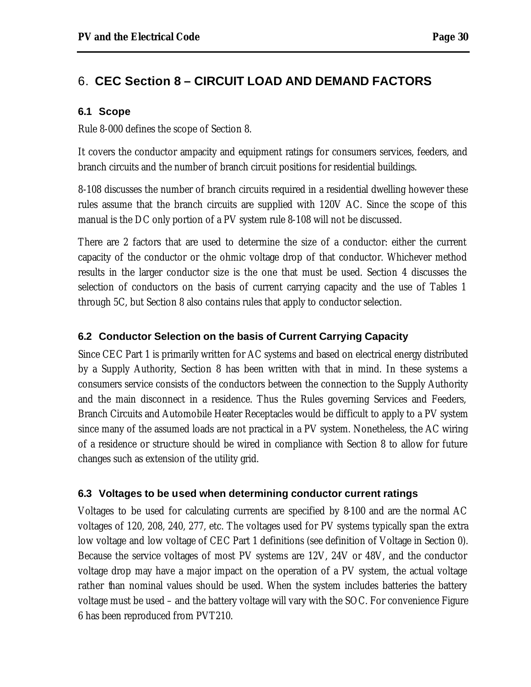# 6. **CEC Section 8 – CIRCUIT LOAD AND DEMAND FACTORS**

#### **6.1 Scope**

Rule 8-000 defines the scope of Section 8.

It covers the conductor ampacity and equipment ratings for consumers services, feeders, and branch circuits and the number of branch circuit positions for residential buildings.

8-108 discusses the number of branch circuits required in a residential dwelling however these rules assume that the branch circuits are supplied with 120V AC. Since the scope of this manual is the DC only portion of a PV system rule 8-108 will not be discussed.

There are 2 factors that are used to determine the size of a conductor: either the current capacity of the conductor or the ohmic voltage drop of that conductor. Whichever method results in the larger conductor size is the one that must be used. Section 4 discusses the selection of conductors on the basis of current carrying capacity and the use of Tables 1 through 5C, but Section 8 also contains rules that apply to conductor selection.

#### **6.2 Conductor Selection on the basis of Current Carrying Capacity**

Since CEC Part 1 is primarily written for AC systems and based on electrical energy distributed by a Supply Authority, Section 8 has been written with that in mind. In these systems a consumers service consists of the conductors between the connection to the Supply Authority and the main disconnect in a residence. Thus the Rules governing Services and Feeders, Branch Circuits and Automobile Heater Receptacles would be difficult to apply to a PV system since many of the assumed loads are not practical in a PV system. Nonetheless, the AC wiring of a residence or structure should be wired in compliance with Section 8 to allow for future changes such as extension of the utility grid.

#### **6.3 Voltages to be used when determining conductor current ratings**

Voltages to be used for calculating currents are specified by 8-100 and are the normal AC voltages of 120, 208, 240, 277, etc. The voltages used for PV systems typically span the extra low voltage and low voltage of CEC Part 1 definitions (see definition of Voltage in Section 0). Because the service voltages of most PV systems are 12V, 24V or 48V, and the conductor voltage drop may have a major impact on the operation of a PV system, the actual voltage rather than nominal values should be used. When the system includes batteries the battery voltage must be used – and the battery voltage will vary with the SOC. For convenience Figure 6 has been reproduced from PVT210.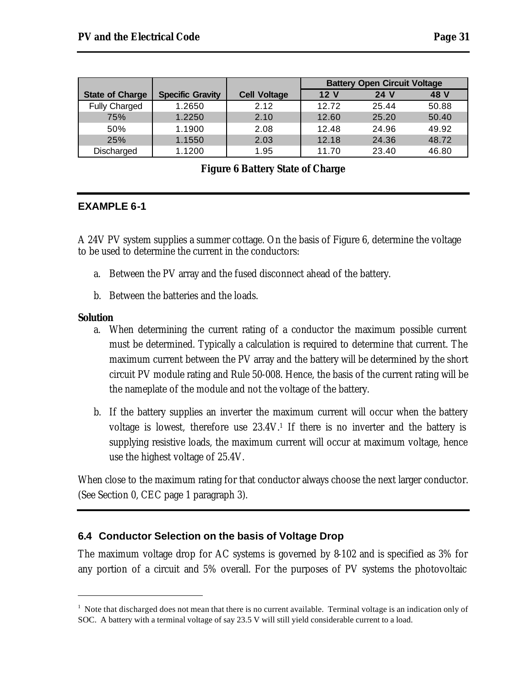|                        |                         |                     | <b>Battery Open Circuit Voltage</b> |       |       |
|------------------------|-------------------------|---------------------|-------------------------------------|-------|-------|
| <b>State of Charge</b> | <b>Specific Gravity</b> | <b>Cell Voltage</b> | 12 <sub>V</sub>                     | 24 V  | 48 V  |
| <b>Fully Charged</b>   | 1.2650                  | 2.12                | 12.72                               | 25.44 | 50.88 |
| 75%                    | 1.2250                  | 2.10                | 12.60                               | 25.20 | 50.40 |
| 50%                    | 1.1900                  | 2.08                | 12.48                               | 24.96 | 49.92 |
| 25%                    | 1.1550                  | 2.03                | 12.18                               | 24.36 | 48.72 |
| Discharged             | 1.1200                  | 1.95                | 11.70                               | 23.40 | 46.80 |

#### **Figure 6 Battery State of Charge**

#### **EXAMPLE 6-1**

A 24V PV system supplies a summer cottage. On the basis of Figure 6, determine the voltage to be used to determine the current in the conductors:

- a. Between the PV array and the fused disconnect ahead of the battery.
- b. Between the batteries and the loads.

#### **Solution**

 $\overline{a}$ 

- a. When determining the current rating of a conductor the maximum possible current must be determined. Typically a calculation is required to determine that current. The maximum current between the PV array and the battery will be determined by the short circuit PV module rating and Rule 50-008. Hence, the basis of the current rating will be the nameplate of the module and not the voltage of the battery.
- b. If the battery supplies an inverter the maximum current will occur when the battery voltage is lowest, therefore use 23.4V.<sup>1</sup> If there is no inverter and the battery is supplying resistive loads, the maximum current will occur at maximum voltage, hence use the highest voltage of 25.4V.

When close to the maximum rating for that conductor always choose the next larger conductor. (See Section 0, CEC page 1 paragraph 3).

#### **6.4 Conductor Selection on the basis of Voltage Drop**

The maximum voltage drop for AC systems is governed by 8-102 and is specified as 3% for any portion of a circuit and 5% overall. For the purposes of PV systems the photovoltaic

 $1$  Note that discharged does not mean that there is no current available. Terminal voltage is an indication only of SOC. A battery with a terminal voltage of say 23.5 V will still yield considerable current to a load.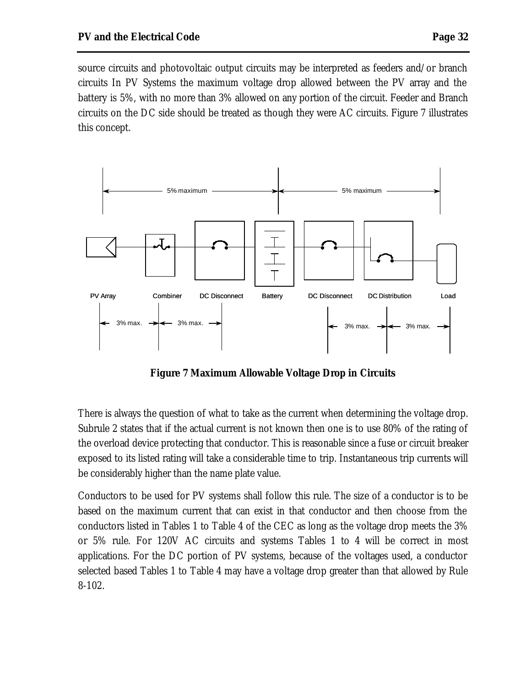source circuits and photovoltaic output circuits may be interpreted as feeders and/or branch circuits In PV Systems the maximum voltage drop allowed between the PV array and the battery is 5%, with no more than 3% allowed on any portion of the circuit. Feeder and Branch circuits on the DC side should be treated as though they were AC circuits. Figure 7 illustrates this concept.



**Figure 7 Maximum Allowable Voltage Drop in Circuits**

There is always the question of what to take as the current when determining the voltage drop. Subrule 2 states that if the actual current is not known then one is to use 80% of the rating of the overload device protecting that conductor. This is reasonable since a fuse or circuit breaker exposed to its listed rating will take a considerable time to trip. Instantaneous trip currents will be considerably higher than the name plate value.

Conductors to be used for PV systems shall follow this rule. The size of a conductor is to be based on the maximum current that can exist in that conductor and then choose from the conductors listed in Tables 1 to Table 4 of the CEC as long as the voltage drop meets the 3% or 5% rule. For 120V AC circuits and systems Tables 1 to 4 will be correct in most applications. For the DC portion of PV systems, because of the voltages used, a conductor selected based Tables 1 to Table 4 may have a voltage drop greater than that allowed by Rule 8-102.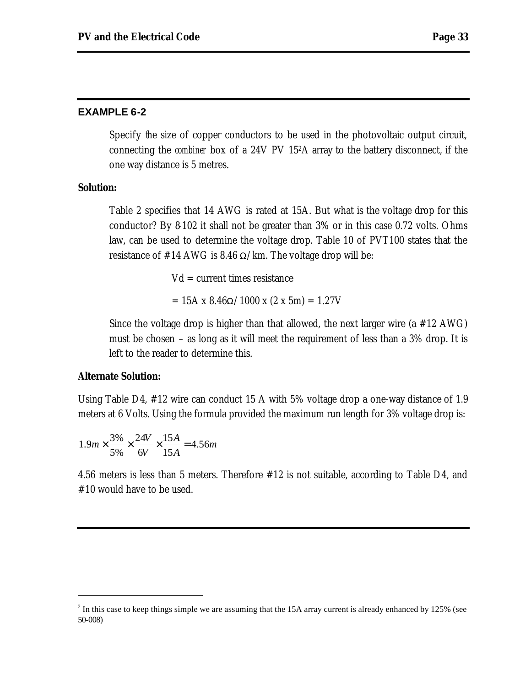#### **EXAMPLE 6-2**

Specify the size of copper conductors to be used in the photovoltaic output circuit, connecting the *combiner* box of a 24V PV 152A array to the battery disconnect, if the one way distance is 5 metres.

#### **Solution:**

Table 2 specifies that 14 AWG is rated at 15A. But what is the voltage drop for this conductor? By 8-102 it shall not be greater than 3% or in this case 0.72 volts. Ohms law, can be used to determine the voltage drop. Table 10 of PVT100 states that the resistance of #14 AWG is 8.46  $\Omega$ /km. The voltage drop will be:

 $Vd = current times resistance$ 

 $= 15A \times 8.46 \Omega / 1000 \times (2 \times 5m) = 1.27V$ 

Since the voltage drop is higher than that allowed, the next larger wire (a #12 AWG) must be chosen – as long as it will meet the requirement of less than a 3% drop. It is left to the reader to determine this.

#### **Alternate Solution:**

 $\overline{a}$ 

Using Table D4, #12 wire can conduct 15 A with 5% voltage drop a one-way distance of 1.9 meters at 6 Volts. Using the formula provided the maximum run length for 3% voltage drop is:

$$
1.9m \times \frac{3\%}{5\%} \times \frac{24V}{6V} \times \frac{15A}{15A} = 4.56m
$$

4.56 meters is less than 5 meters. Therefore #12 is not suitable, according to Table D4, and #10 would have to be used.

 $2^{2}$  In this case to keep things simple we are assuming that the 15A array current is already enhanced by 125% (see 50-008)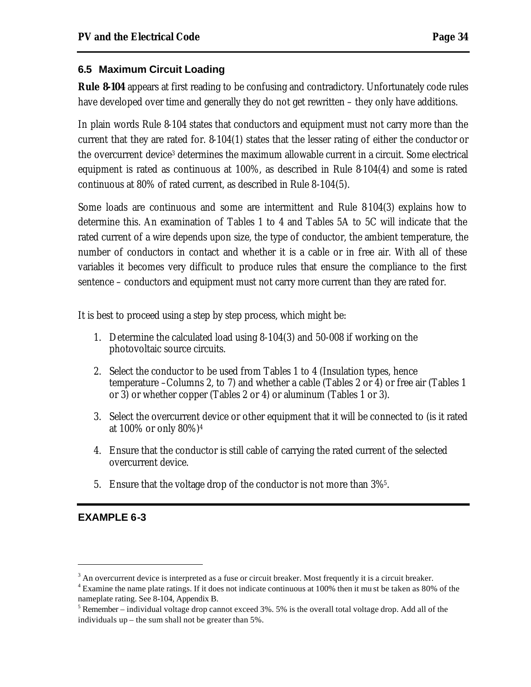#### **6.5 Maximum Circuit Loading**

**Rule 8-104** appears at first reading to be confusing and contradictory. Unfortunately code rules have developed over time and generally they do not get rewritten – they only have additions.

In plain words Rule 8-104 states that conductors and equipment must not carry more than the current that they are rated for. 8-104(1) states that the lesser rating of either the conductor or the overcurrent device<sup>3</sup> determines the maximum allowable current in a circuit. Some electrical equipment is rated as continuous at 100%, as described in Rule 8-104(4) and some is rated continuous at 80% of rated current, as described in Rule 8-104(5).

Some loads are continuous and some are intermittent and Rule 8-104(3) explains how to determine this. An examination of Tables 1 to 4 and Tables 5A to 5C will indicate that the rated current of a wire depends upon size, the type of conductor, the ambient temperature, the number of conductors in contact and whether it is a cable or in free air. With all of these variables it becomes very difficult to produce rules that ensure the compliance to the first sentence – conductors and equipment must not carry more current than they are rated for.

It is best to proceed using a step by step process, which might be:

- 1. Determine the calculated load using 8-104(3) and 50-008 if working on the photovoltaic source circuits.
- 2. Select the conductor to be used from Tables 1 to 4 (Insulation types, hence temperature –Columns 2, to 7) and whether a cable (Tables 2 or 4) or free air (Tables 1 or 3) or whether copper (Tables 2 or 4) or aluminum (Tables 1 or 3).
- 3. Select the overcurrent device or other equipment that it will be connected to (is it rated at 100% or only 80%)<sup>4</sup>
- 4. Ensure that the conductor is still cable of carrying the rated current of the selected overcurrent device.
- 5. Ensure that the voltage drop of the conductor is not more than 3%<sup>5</sup> .

# **EXAMPLE 6-3**

 $\overline{a}$ 

 $3$  An overcurrent device is interpreted as a fuse or circuit breaker. Most frequently it is a circuit breaker.

<sup>&</sup>lt;sup>4</sup> Examine the name plate ratings. If it does not indicate continuous at 100% then it mu st be taken as 80% of the nameplate rating. See 8-104, Appendix B.

 $<sup>5</sup>$  Remember – individual voltage drop cannot exceed 3%. 5% is the overall total voltage drop. Add all of the</sup> individuals up – the sum shall not be greater than 5%.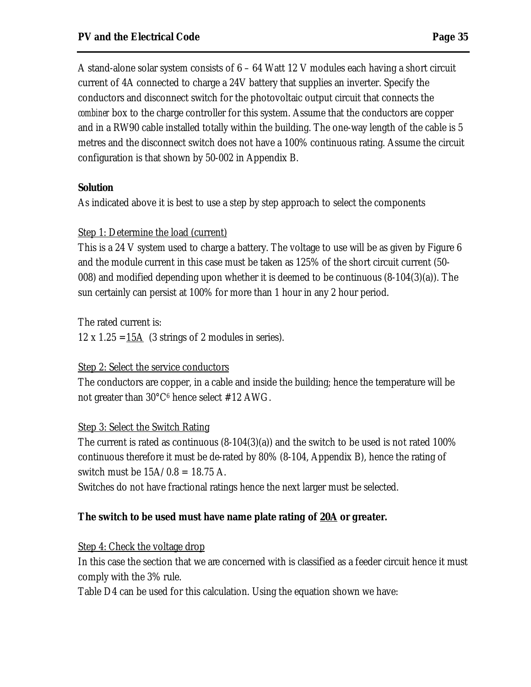A stand-alone solar system consists of 6 – 64 Watt 12 V modules each having a short circuit current of 4A connected to charge a 24V battery that supplies an inverter. Specify the conductors and disconnect switch for the photovoltaic output circuit that connects the *combiner* box to the charge controller for this system. Assume that the conductors are copper and in a RW90 cable installed totally within the building. The one-way length of the cable is 5 metres and the disconnect switch does not have a 100% continuous rating. Assume the circuit configuration is that shown by 50-002 in Appendix B.

#### **Solution**

As indicated above it is best to use a step by step approach to select the components

#### Step 1: Determine the load (current)

This is a 24 V system used to charge a battery. The voltage to use will be as given by Figure 6 and the module current in this case must be taken as 125% of the short circuit current (50- 008) and modified depending upon whether it is deemed to be continuous (8-104(3)(a)). The sun certainly can persist at 100% for more than 1 hour in any 2 hour period.

The rated current is:

12 x 1.25 =  $\frac{15A}{3}$  (3 strings of 2 modules in series).

# Step 2: Select the service conductors

The conductors are copper, in a cable and inside the building; hence the temperature will be not greater than 30°C<sup>6</sup> hence select #12 AWG.

# Step 3: Select the Switch Rating

The current is rated as continuous  $(8-104(3)(a))$  and the switch to be used is not rated 100% continuous therefore it must be de-rated by 80% (8-104, Appendix B), hence the rating of switch must be  $15A/0.8 = 18.75 A$ .

Switches do not have fractional ratings hence the next larger must be selected.

# *The switch to be used must have name plate rating of 20A or greater.*

# Step 4: Check the voltage drop

In this case the section that we are concerned with is classified as a feeder circuit hence it must comply with the 3% rule.

Table D4 can be used for this calculation. Using the equation shown we have: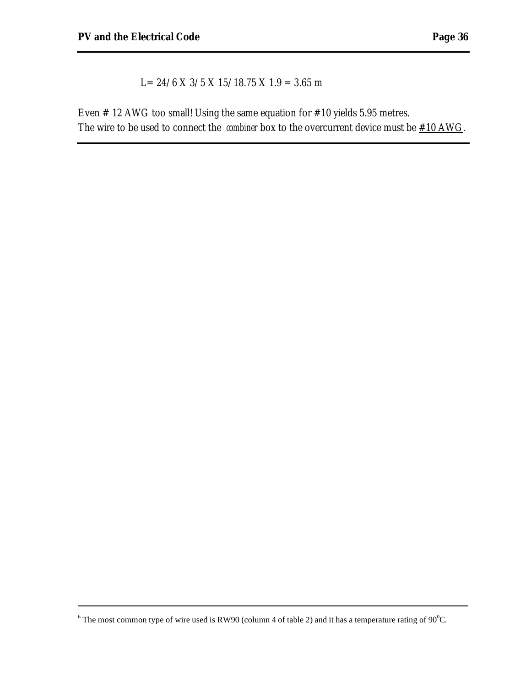$\overline{a}$ 

L=  $24/6$  X  $3/5$  X  $15/18.75$  X  $1.9$  = 3.65 m

Even # 12 AWG too small! Using the same equation for #10 yields 5.95 metres. The wire to be used to connect the *combiner* box to the overcurrent device must be  $\#10 \text{ AWG}$ .

<sup>&</sup>lt;sup>6</sup> The most common type of wire used is RW90 (column 4 of table 2) and it has a temperature rating of 90<sup>o</sup>C.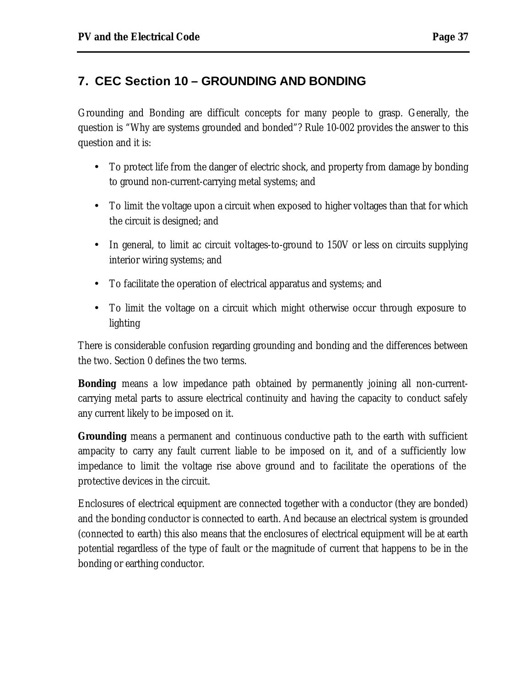# **7. CEC Section 10 – GROUNDING AND BONDING**

Grounding and Bonding are difficult concepts for many people to grasp. Generally, the question is "Why are systems grounded and bonded"? Rule 10-002 provides the answer to this question and it is:

- To protect life from the danger of electric shock, and property from damage by bonding to ground non-current-carrying metal systems; and
- To limit the voltage upon a circuit when exposed to higher voltages than that for which the circuit is designed; and
- In general, to limit ac circuit voltages-to-ground to 150V or less on circuits supplying interior wiring systems; and
- To facilitate the operation of electrical apparatus and systems; and
- To limit the voltage on a circuit which might otherwise occur through exposure to lighting

There is considerable confusion regarding grounding and bonding and the differences between the two. Section 0 defines the two terms.

**Bonding** means a low impedance path obtained by permanently joining all non-currentcarrying metal parts to assure electrical continuity and having the capacity to conduct safely any current likely to be imposed on it.

**Grounding** means a permanent and continuous conductive path to the earth with sufficient ampacity to carry any fault current liable to be imposed on it, and of a sufficiently low impedance to limit the voltage rise above ground and to facilitate the operations of the protective devices in the circuit.

Enclosures of electrical equipment are connected together with a conductor (they are bonded) and the bonding conductor is connected to earth. And because an electrical system is grounded (connected to earth) this also means that the enclosures of electrical equipment will be at earth potential regardless of the type of fault or the magnitude of current that happens to be in the bonding or earthing conductor.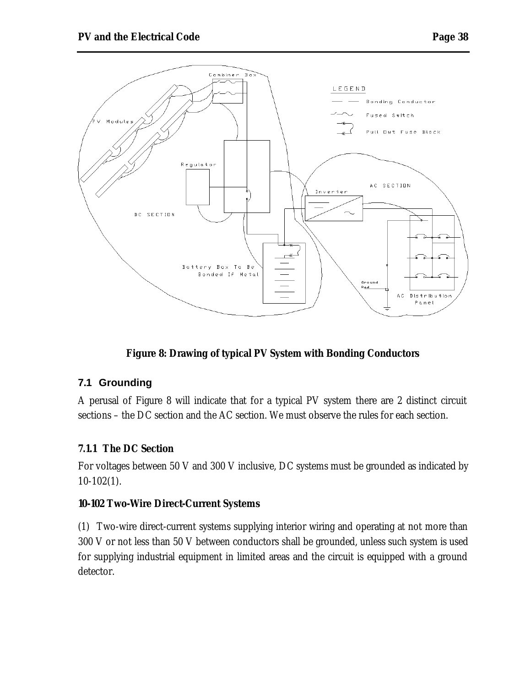

# **Figure 8: Drawing of typical PV System with Bonding Conductors**

# **7.1 Grounding**

A perusal of Figure 8 will indicate that for a typical PV system there are 2 distinct circuit sections – the DC section and the AC section. We must observe the rules for each section.

#### **7.1.1 The DC Section**

For voltages between 50 V and 300 V inclusive, DC systems must be grounded as indicated by 10-102(1).

#### **10-102 Two-Wire Direct-Current Systems**

(1) Two-wire direct-current systems supplying interior wiring and operating at not more than 300 V or not less than 50 V between conductors shall be grounded, unless such system is used for supplying industrial equipment in limited areas and the circuit is equipped with a ground detector.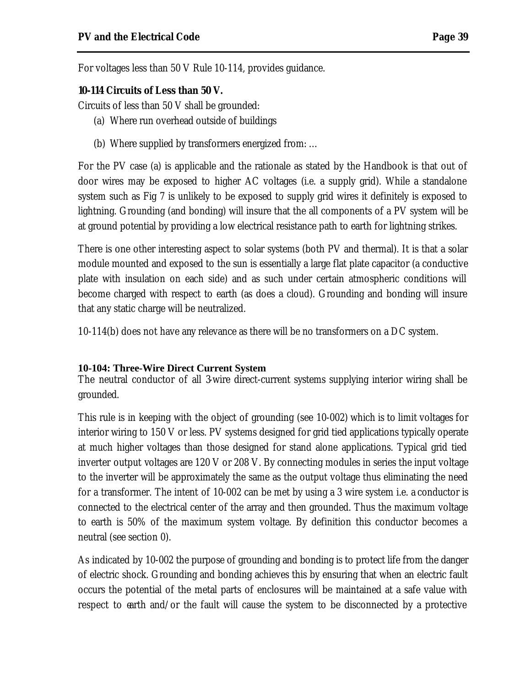For voltages less than 50 V Rule 10-114, provides guidance.

#### **10-114 Circuits of Less than 50 V.**

Circuits of less than 50 V shall be grounded:

- (a) Where run overhead outside of buildings
- (b) Where supplied by transformers energized from: …

For the PV case (a) is applicable and the rationale as stated by the Handbook is that out of door wires may be exposed to higher AC voltages (i.e. a supply grid). While a standalone system such as Fig 7 is unlikely to be exposed to supply grid wires it definitely is exposed to lightning. Grounding (and bonding) will insure that the all components of a PV system will be at ground potential by providing a low electrical resistance path to earth for lightning strikes.

There is one other interesting aspect to solar systems (both PV and thermal). It is that a solar module mounted and exposed to the sun is essentially a large flat plate capacitor (a conductive plate with insulation on each side) and as such under certain atmospheric conditions will become charged with respect to earth (as does a cloud). Grounding and bonding will insure that any static charge will be neutralized.

10-114(b) does not have any relevance as there will be no transformers on a DC system.

#### **10-104: Three-Wire Direct Current System**

The neutral conductor of all 3-wire direct-current systems supplying interior wiring shall be grounded.

This rule is in keeping with the object of grounding (see 10-002) which is to limit voltages for interior wiring to 150 V or less. PV systems designed for grid tied applications typically operate at much higher voltages than those designed for stand alone applications. Typical grid tied inverter output voltages are 120 V or 208 V. By connecting modules in series the input voltage to the inverter will be approximately the same as the output voltage thus eliminating the need for a transformer. The intent of 10-002 can be met by using a 3 wire system i.e. a conductor is connected to the electrical center of the array and then grounded. Thus the maximum voltage to earth is 50% of the maximum system voltage. By definition this conductor becomes a neutral (see section 0).

As indicated by 10-002 the purpose of grounding and bonding is to protect life from the danger of electric shock. Grounding and bonding achieves this by ensuring that when an electric fault occurs the potential of the metal parts of enclosures will be maintained at a safe value with respect to earth and/or the fault will cause the system to be disconnected by a protective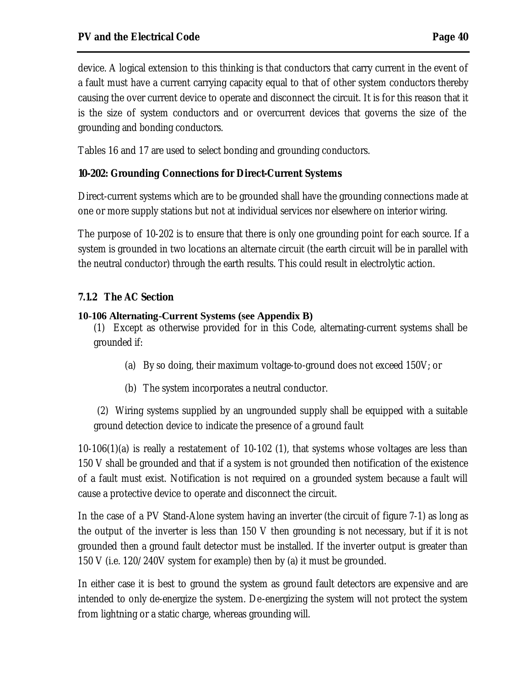device. A logical extension to this thinking is that conductors that carry current in the event of a fault must have a current carrying capacity equal to that of other system conductors thereby causing the over current device to operate and disconnect the circuit. It is for this reason that it is the size of system conductors and or overcurrent devices that governs the size of the grounding and bonding conductors.

Tables 16 and 17 are used to select bonding and grounding conductors.

#### **10-202: Grounding Connections for Direct-Current Systems**

Direct-current systems which are to be grounded shall have the grounding connections made at one or more supply stations but not at individual services nor elsewhere on interior wiring.

The purpose of 10-202 is to ensure that there is only one grounding point for each source. If a system is grounded in two locations an alternate circuit (the earth circuit will be in parallel with the neutral conductor) through the earth results. This could result in electrolytic action.

#### **7.1.2 The AC Section**

#### **10-106 Alternating-Current Systems (see Appendix B)**

(1) Except as otherwise provided for in this Code, alternating-current systems shall be grounded if:

- (a) By so doing, their maximum voltage-to-ground does not exceed 150V; or
- (b) The system incorporates a neutral conductor.

 (2) Wiring systems supplied by an ungrounded supply shall be equipped with a suitable ground detection device to indicate the presence of a ground fault

 $10-106(1)(a)$  is really a restatement of  $10-102(1)$ , that systems whose voltages are less than 150 V shall be grounded and that if a system is not grounded then notification of the existence of a fault must exist. Notification is not required on a grounded system because a fault will cause a protective device to operate and disconnect the circuit.

In the case of a PV Stand-Alone system having an inverter (the circuit of figure 7-1) as long as the output of the inverter is less than 150 V then grounding is not necessary, but if it is not grounded then a ground fault detector must be installed. If the inverter output is greater than 150 V (i.e. 120/240V system for example) then by (a) it must be grounded.

In either case it is best to ground the system as ground fault detectors are expensive and are intended to only de-energize the system. De-energizing the system will not protect the system from lightning or a static charge, whereas grounding will.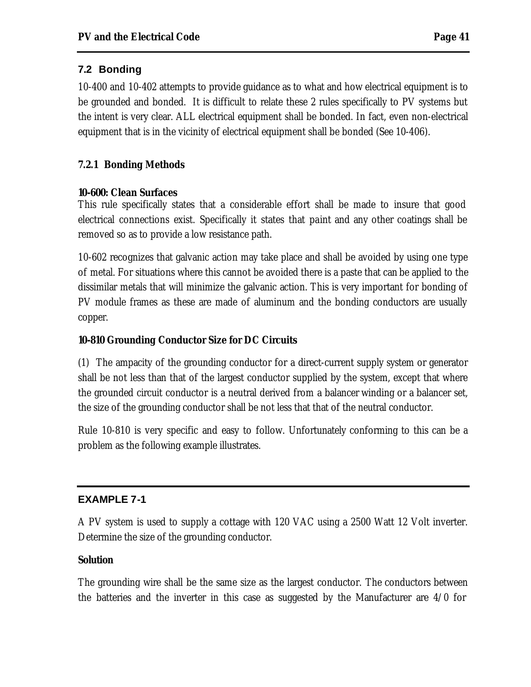# **7.2 Bonding**

10-400 and 10-402 attempts to provide guidance as to what and how electrical equipment is to be grounded and bonded. It is difficult to relate these 2 rules specifically to PV systems but the intent is very clear. ALL electrical equipment shall be bonded. In fact, even non-electrical equipment that is in the vicinity of electrical equipment shall be bonded (See 10-406).

# **7.2.1 Bonding Methods**

# **10-600: Clean Surfaces**

This rule specifically states that a considerable effort shall be made to insure that good electrical connections exist. Specifically it states that paint and any other coatings shall be removed so as to provide a low resistance path.

10-602 recognizes that galvanic action may take place and shall be avoided by using one type of metal. For situations where this cannot be avoided there is a paste that can be applied to the dissimilar metals that will minimize the galvanic action. This is very important for bonding of PV module frames as these are made of aluminum and the bonding conductors are usually copper.

# **10-810 Grounding Conductor Size for DC Circuits**

(1) The ampacity of the grounding conductor for a direct-current supply system or generator shall be not less than that of the largest conductor supplied by the system, except that where the grounded circuit conductor is a neutral derived from a balancer winding or a balancer set, the size of the grounding conductor shall be not less that that of the neutral conductor.

Rule 10-810 is very specific and easy to follow. Unfortunately conforming to this can be a problem as the following example illustrates.

# **EXAMPLE 7-1**

A PV system is used to supply a cottage with 120 VAC using a 2500 Watt 12 Volt inverter. Determine the size of the grounding conductor.

# **Solution**

The grounding wire shall be the same size as the largest conductor. The conductors between the batteries and the inverter in this case as suggested by the Manufacturer are  $4/0$  for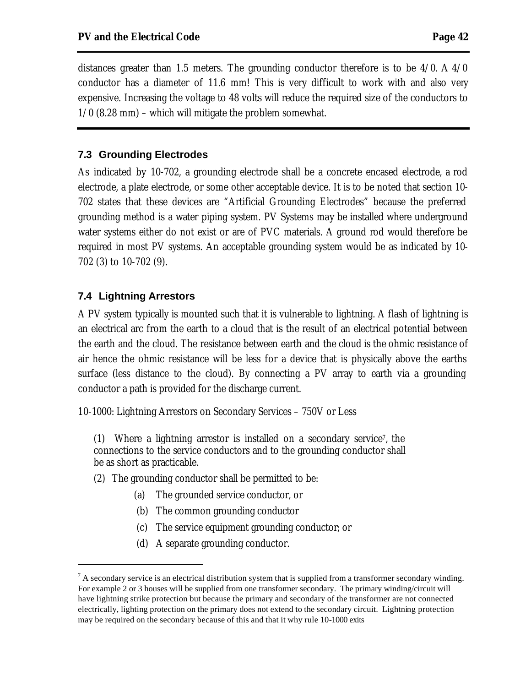distances greater than 1.5 meters. The grounding conductor therefore is to be 4/0. A 4/0 conductor has a diameter of 11.6 mm! This is very difficult to work with and also very expensive. Increasing the voltage to 48 volts will reduce the required size of the conductors to 1/0 (8.28 mm) – which will mitigate the problem somewhat.

#### **7.3 Grounding Electrodes**

As indicated by 10-702, a grounding electrode shall be a concrete encased electrode, a rod electrode, a plate electrode, or some other acceptable device. It is to be noted that section 10- 702 states that these devices are "Artificial Grounding Electrodes" because the preferred grounding method is a water piping system. PV Systems may be installed where underground water systems either do not exist or are of PVC materials. A ground rod would therefore be required in most PV systems. An acceptable grounding system would be as indicated by 10- 702 (3) to 10-702 (9).

#### **7.4 Lightning Arrestors**

 $\overline{a}$ 

A PV system typically is mounted such that it is vulnerable to lightning. A flash of lightning is an electrical arc from the earth to a cloud that is the result of an electrical potential between the earth and the cloud. The resistance between earth and the cloud is the ohmic resistance of air hence the ohmic resistance will be less for a device that is physically above the earths surface (less distance to the cloud). By connecting a PV array to earth via a grounding conductor a path is provided for the discharge current.

10-1000: Lightning Arrestors on Secondary Services – 750V or Less

(1) Where a lightning arrestor is installed on a secondary service<sup>7</sup> , the connections to the service conductors and to the grounding conductor shall be as short as practicable.

- (2) The grounding conductor shall be permitted to be:
	- (a) The grounded service conductor, or
	- (b) The common grounding conductor
	- (c) The service equipment grounding conductor; or
	- (d) A separate grounding conductor.

 $<sup>7</sup>$  A secondary service is an electrical distribution system that is supplied from a transformer secondary winding.</sup> For example 2 or 3 houses will be supplied from one transformer secondary. The primary winding/circuit will have lightning strike protection but because the primary and secondary of the transformer are not connected electrically, lighting protection on the primary does not extend to the secondary circuit. Lightning protection may be required on the secondary because of this and that it why rule 10-1000 exits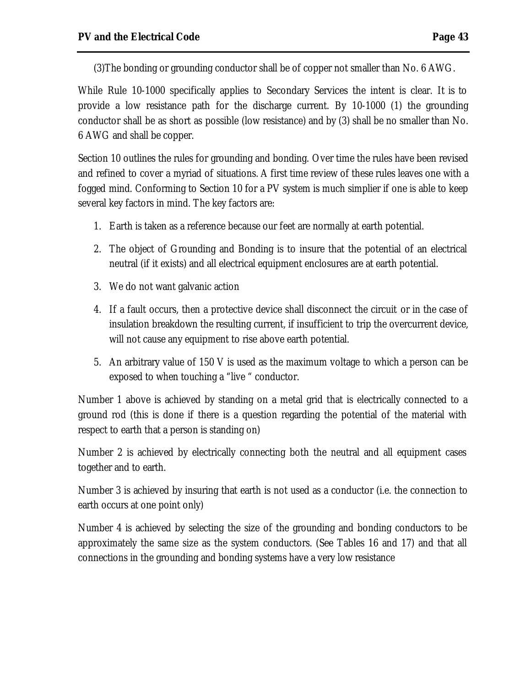(3)The bonding or grounding conductor shall be of copper not smaller than No. 6 AWG.

While Rule 10-1000 specifically applies to Secondary Services the intent is clear. It is to provide a low resistance path for the discharge current. By 10-1000 (1) the grounding conductor shall be as short as possible (low resistance) and by (3) shall be no smaller than No. 6 AWG and shall be copper.

Section 10 outlines the rules for grounding and bonding. Over time the rules have been revised and refined to cover a myriad of situations. A first time review of these rules leaves one with a fogged mind. Conforming to Section 10 for a PV system is much simplier if one is able to keep several key factors in mind. The key factors are:

- 1. Earth is taken as a reference because our feet are normally at earth potential.
- 2. The object of Grounding and Bonding is to insure that the potential of an electrical neutral (if it exists) and all electrical equipment enclosures are at earth potential.
- 3. We do not want galvanic action
- 4. If a fault occurs, then a protective device shall disconnect the circuit or in the case of insulation breakdown the resulting current, if insufficient to trip the overcurrent device, will not cause any equipment to rise above earth potential.
- 5. An arbitrary value of 150 V is used as the maximum voltage to which a person can be exposed to when touching a "live " conductor.

Number 1 above is achieved by standing on a metal grid that is electrically connected to a ground rod (this is done if there is a question regarding the potential of the material with respect to earth that a person is standing on)

Number 2 is achieved by electrically connecting both the neutral and all equipment cases together and to earth.

Number 3 is achieved by insuring that earth is not used as a conductor (i.e. the connection to earth occurs at one point only)

Number 4 is achieved by selecting the size of the grounding and bonding conductors to be approximately the same size as the system conductors. (See Tables 16 and 17) and that all connections in the grounding and bonding systems have a very low resistance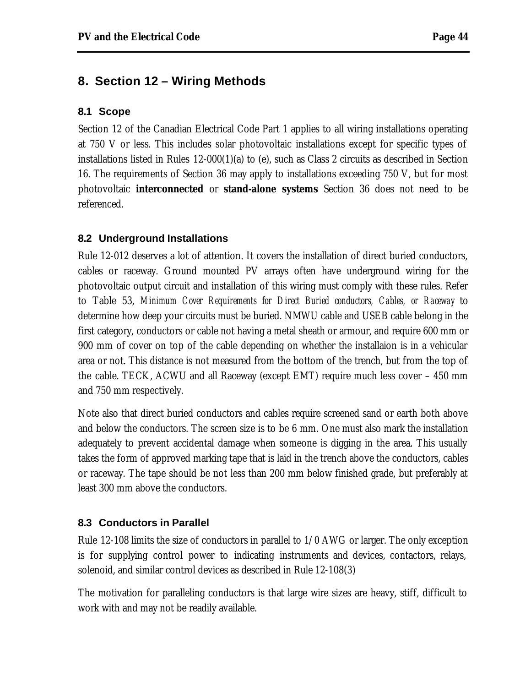# **8. Section 12 – Wiring Methods**

#### **8.1 Scope**

Section 12 of the Canadian Electrical Code Part 1 applies to all wiring installations operating at 750 V or less. This includes solar photovoltaic installations except for specific types of installations listed in Rules 12-000(1)(a) to (e), such as Class 2 circuits as described in Section 16. The requirements of Section 36 may apply to installations exceeding 750 V, but for most photovoltaic **interconnected** or **stand-alone systems** Section 36 does not need to be referenced.

#### **8.2 Underground Installations**

Rule 12-012 deserves a lot of attention. It covers the installation of direct buried conductors, cables or raceway. Ground mounted PV arrays often have underground wiring for the photovoltaic output circuit and installation of this wiring must comply with these rules. Refer to Table 53, *Minimum Cover Requirements for Direct Buried conductors, Cables, or Raceway* to determine how deep your circuits must be buried. NMWU cable and USEB cable belong in the first category, conductors or cable not having a metal sheath or armour, and require 600 mm or 900 mm of cover on top of the cable depending on whether the installaion is in a vehicular area or not. This distance is not measured from the bottom of the trench, but from the top of the cable. TECK, ACWU and all Raceway (except EMT) require much less cover – 450 mm and 750 mm respectively.

Note also that direct buried conductors and cables require screened sand or earth both above and below the conductors. The screen size is to be 6 mm. One must also mark the installation adequately to prevent accidental damage when someone is digging in the area. This usually takes the form of approved marking tape that is laid in the trench above the conductors, cables or raceway. The tape should be not less than 200 mm below finished grade, but preferably at least 300 mm above the conductors.

#### **8.3 Conductors in Parallel**

Rule 12-108 limits the size of conductors in parallel to 1/0 AWG or larger. The only exception is for supplying control power to indicating instruments and devices, contactors, relays, solenoid, and similar control devices as described in Rule 12-108(3)

The motivation for paralleling conductors is that large wire sizes are heavy, stiff, difficult to work with and may not be readily available.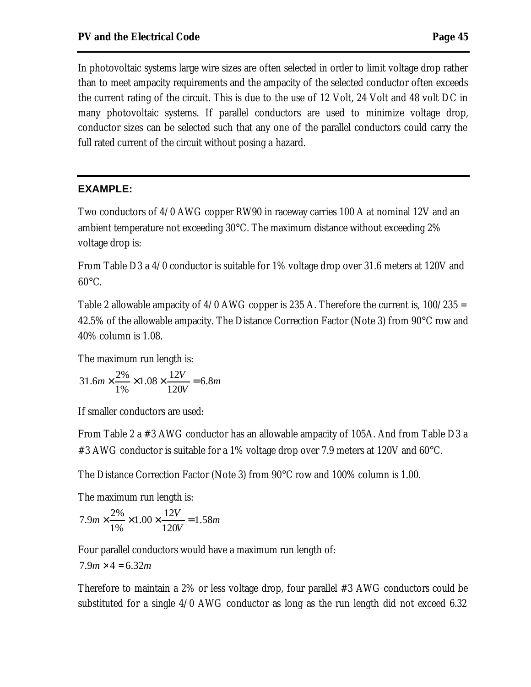In photovoltaic systems large wire sizes are often selected in order to limit voltage drop rather than to meet ampacity requirements and the ampacity of the selected conductor often exceeds the current rating of the circuit. This is due to the use of 12 Volt, 24 Volt and 48 volt DC in many photovoltaic systems. If parallel conductors are used to minimize voltage drop, conductor sizes can be selected such that any one of the parallel conductors could carry the full rated current of the circuit without posing a hazard.

#### **EXAMPLE:**

Two conductors of 4/0 AWG copper RW90 in raceway carries 100 A at nominal 12V and an ambient temperature not exceeding 30°C. The maximum distance without exceeding 2% voltage drop is:

From Table D3 a 4/0 conductor is suitable for 1% voltage drop over 31.6 meters at 120V and 60°C.

Table 2 allowable ampacity of  $4/0$  AWG copper is 235 A. Therefore the current is,  $100/235 =$ 42.5% of the allowable ampacity. The Distance Correction Factor (Note 3) from 90°C row and 40% column is 1.08.

The maximum run length is:

$$
31.6m \times \frac{2\%}{1\%} \times 1.08 \times \frac{12V}{120V} = 6.8m
$$

If smaller conductors are used:

From Table 2 a #3 AWG conductor has an allowable ampacity of 105A. And from Table D3 a #3 AWG conductor is suitable for a 1% voltage drop over 7.9 meters at 120V and 60°C.

The Distance Correction Factor (Note 3) from 90°C row and 100% column is 1.00.

The maximum run length is:

$$
7.9m \times \frac{2\%}{1\%} \times 1.00 \times \frac{12V}{120V} = 1.58m
$$

Four parallel conductors would have a maximum run length of:

$$
7.9m \times 4 = 6.32m
$$

Therefore to maintain a 2% or less voltage drop, four parallel #3 AWG conductors could be substituted for a single 4/0 AWG conductor as long as the run length did not exceed 6.32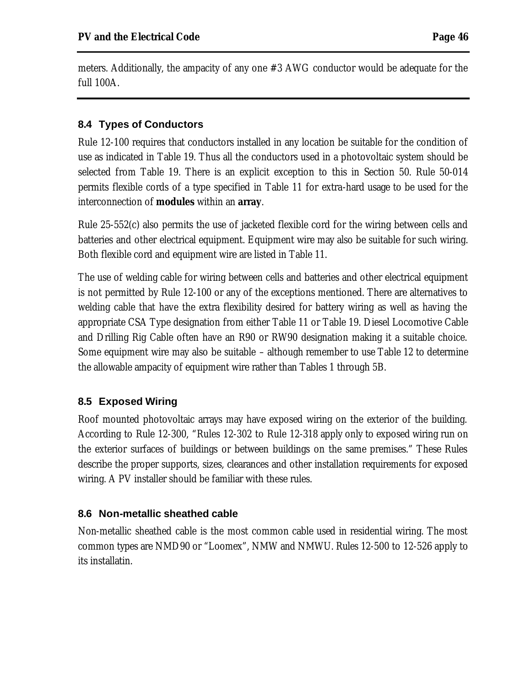meters. Additionally, the ampacity of any one #3 AWG conductor would be adequate for the full 100A.

# **8.4 Types of Conductors**

Rule 12-100 requires that conductors installed in any location be suitable for the condition of use as indicated in Table 19. Thus all the conductors used in a photovoltaic system should be selected from Table 19. There is an explicit exception to this in Section 50. Rule 50-014 permits flexible cords of a type specified in Table 11 for extra-hard usage to be used for the interconnection of **modules** within an **array**.

Rule 25-552(c) also permits the use of jacketed flexible cord for the wiring between cells and batteries and other electrical equipment. Equipment wire may also be suitable for such wiring. Both flexible cord and equipment wire are listed in Table 11.

The use of welding cable for wiring between cells and batteries and other electrical equipment is not permitted by Rule 12-100 or any of the exceptions mentioned. There are alternatives to welding cable that have the extra flexibility desired for battery wiring as well as having the appropriate CSA Type designation from either Table 11 or Table 19. Diesel Locomotive Cable and Drilling Rig Cable often have an R90 or RW90 designation making it a suitable choice. Some equipment wire may also be suitable – although remember to use Table 12 to determine the allowable ampacity of equipment wire rather than Tables 1 through 5B.

# **8.5 Exposed Wiring**

Roof mounted photovoltaic arrays may have exposed wiring on the exterior of the building. According to Rule 12-300, "Rules 12-302 to Rule 12-318 apply only to exposed wiring run on the exterior surfaces of buildings or between buildings on the same premises." These Rules describe the proper supports, sizes, clearances and other installation requirements for exposed wiring. A PV installer should be familiar with these rules.

# **8.6 Non-metallic sheathed cable**

Non-metallic sheathed cable is the most common cable used in residential wiring. The most common types are NMD90 or "Loomex", NMW and NMWU. Rules 12-500 to 12-526 apply to its installatin.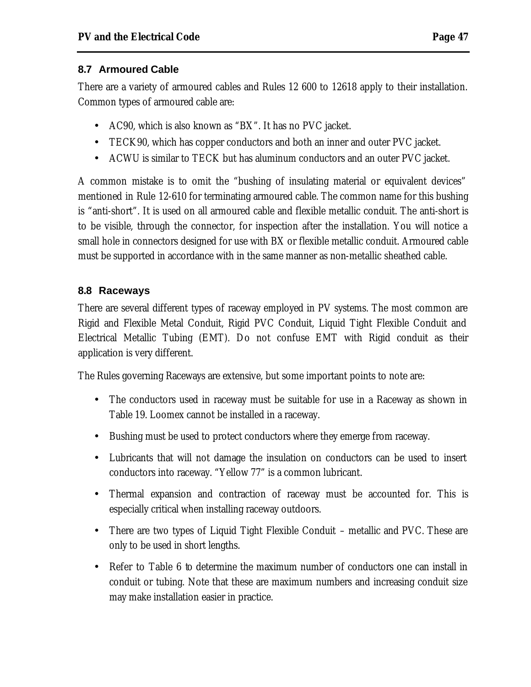#### **8.7 Armoured Cable**

There are a variety of armoured cables and Rules 12 600 to 12618 apply to their installation. Common types of armoured cable are:

- AC90, which is also known as "BX". It has no PVC jacket.
- TECK90, which has copper conductors and both an inner and outer PVC jacket.
- ACWU is similar to TECK but has aluminum conductors and an outer PVC jacket.

A common mistake is to omit the "bushing of insulating material or equivalent devices" mentioned in Rule 12-610 for terminating armoured cable. The common name for this bushing is "anti-short". It is used on all armoured cable and flexible metallic conduit. The anti-short is to be visible, through the connector, for inspection after the installation. You will notice a small hole in connectors designed for use with BX or flexible metallic conduit. Armoured cable must be supported in accordance with in the same manner as non-metallic sheathed cable.

# **8.8 Raceways**

There are several different types of raceway employed in PV systems. The most common are Rigid and Flexible Metal Conduit, Rigid PVC Conduit, Liquid Tight Flexible Conduit and Electrical Metallic Tubing (EMT). Do not confuse EMT with Rigid conduit as their application is very different.

The Rules governing Raceways are extensive, but some important points to note are:

- The conductors used in raceway must be suitable for use in a Raceway as shown in Table 19. Loomex cannot be installed in a raceway.
- Bushing must be used to protect conductors where they emerge from raceway.
- Lubricants that will not damage the insulation on conductors can be used to insert conductors into raceway. "Yellow 77" is a common lubricant.
- Thermal expansion and contraction of raceway must be accounted for. This is especially critical when installing raceway outdoors.
- There are two types of Liquid Tight Flexible Conduit metallic and PVC. These are only to be used in short lengths.
- Refer to Table 6 to determine the maximum number of conductors one can install in conduit or tubing. Note that these are maximum numbers and increasing conduit size may make installation easier in practice.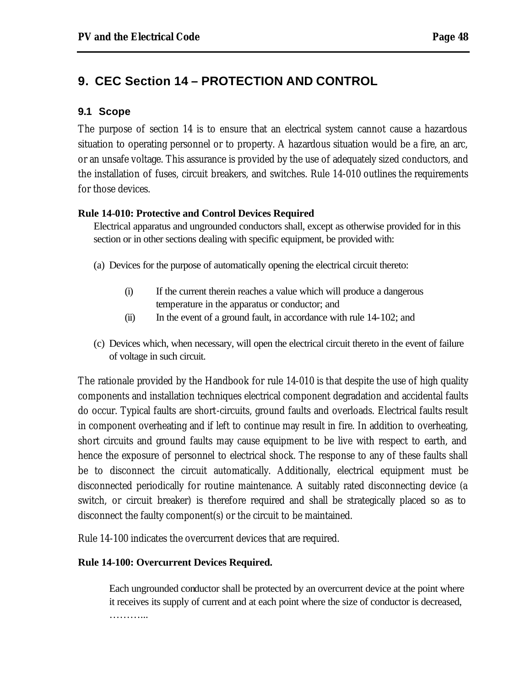# **9. CEC Section 14 – PROTECTION AND CONTROL**

#### **9.1 Scope**

The purpose of section 14 is to ensure that an electrical system cannot cause a hazardous situation to operating personnel or to property. A hazardous situation would be a fire, an arc, or an unsafe voltage. This assurance is provided by the use of adequately sized conductors, and the installation of fuses, circuit breakers, and switches. Rule 14-010 outlines the requirements for those devices.

#### **Rule 14-010: Protective and Control Devices Required**

Electrical apparatus and ungrounded conductors shall, except as otherwise provided for in this section or in other sections dealing with specific equipment, be provided with:

- (a) Devices for the purpose of automatically opening the electrical circuit thereto:
	- (i) If the current therein reaches a value which will produce a dangerous temperature in the apparatus or conductor; and
	- (ii) In the event of a ground fault, in accordance with rule 14-102; and
- (c) Devices which, when necessary, will open the electrical circuit thereto in the event of failure of voltage in such circuit.

The rationale provided by the Handbook for rule 14-010 is that despite the use of high quality components and installation techniques electrical component degradation and accidental faults do occur. Typical faults are short-circuits, ground faults and overloads. Electrical faults result in component overheating and if left to continue may result in fire. In addition to overheating, short circuits and ground faults may cause equipment to be live with respect to earth, and hence the exposure of personnel to electrical shock. The response to any of these faults shall be to disconnect the circuit automatically. Additionally, electrical equipment must be disconnected periodically for routine maintenance. A suitably rated disconnecting device (a switch, or circuit breaker) is therefore required and shall be strategically placed so as to disconnect the faulty component(s) or the circuit to be maintained.

Rule 14-100 indicates the overcurrent devices that are required.

#### **Rule 14-100: Overcurrent Devices Required.**

Each ungrounded conductor shall be protected by an overcurrent device at the point where it receives its supply of current and at each point where the size of conductor is decreased, …………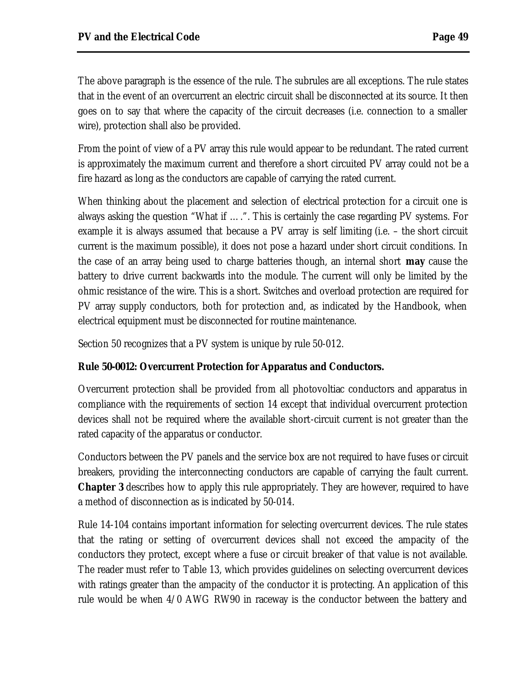The above paragraph is the essence of the rule. The subrules are all exceptions. The rule states that in the event of an overcurrent an electric circuit shall be disconnected at its source. It then goes on to say that where the capacity of the circuit decreases (i.e. connection to a smaller wire), protection shall also be provided.

From the point of view of a PV array this rule would appear to be redundant. The rated current is approximately the maximum current and therefore a short circuited PV array could not be a fire hazard as long as the conductors are capable of carrying the rated current.

When thinking about the placement and selection of electrical protection for a circuit one is always asking the question "What if ….". This is certainly the case regarding PV systems. For example it is always assumed that because a PV array is self limiting (i.e. – the short circuit current is the maximum possible), it does not pose a hazard under short circuit conditions. In the case of an array being used to charge batteries though, an internal short *may* cause the battery to drive current backwards into the module. The current will only be limited by the ohmic resistance of the wire. This is a short. Switches and overload protection are required for PV array supply conductors, both for protection and, as indicated by the Handbook, when electrical equipment must be disconnected for routine maintenance.

Section 50 recognizes that a PV system is unique by rule 50-012.

#### **Rule 50-0012: Overcurrent Protection for Apparatus and Conductors.**

Overcurrent protection shall be provided from all photovoltiac conductors and apparatus in compliance with the requirements of section 14 except that individual overcurrent protection devices shall not be required where the available short-circuit current is not greater than the rated capacity of the apparatus or conductor.

Conductors between the PV panels and the service box are not required to have fuses or circuit breakers, providing the interconnecting conductors are capable of carrying the fault current. **Chapter 3** describes how to apply this rule appropriately. They are however, required to have a method of disconnection as is indicated by 50-014.

Rule 14-104 contains important information for selecting overcurrent devices. The rule states that the rating or setting of overcurrent devices shall not exceed the ampacity of the conductors they protect, except where a fuse or circuit breaker of that value is not available. The reader must refer to Table 13, which provides guidelines on selecting overcurrent devices with ratings greater than the ampacity of the conductor it is protecting. An application of this rule would be when 4/0 AWG RW90 in raceway is the conductor between the battery and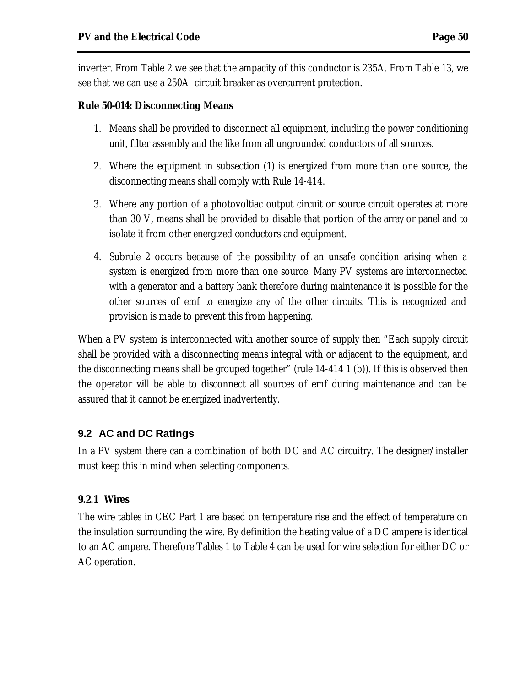inverter. From Table 2 we see that the ampacity of this conductor is 235A. From Table 13, we see that we can use a 250A circuit breaker as overcurrent protection.

#### **Rule 50-014: Disconnecting Means**

- 1. Means shall be provided to disconnect all equipment, including the power conditioning unit, filter assembly and the like from all ungrounded conductors of all sources.
- 2. Where the equipment in subsection (1) is energized from more than one source, the disconnecting means shall comply with Rule 14-414.
- 3. Where any portion of a photovoltiac output circuit or source circuit operates at more than 30 V, means shall be provided to disable that portion of the array or panel and to isolate it from other energized conductors and equipment.
- 4. Subrule 2 occurs because of the possibility of an unsafe condition arising when a system is energized from more than one source. Many PV systems are interconnected with a generator and a battery bank therefore during maintenance it is possible for the other sources of emf to energize any of the other circuits. This is recognized and provision is made to prevent this from happening.

When a PV system is interconnected with another source of supply then "Each supply circuit shall be provided with a disconnecting means integral with or adjacent to the equipment, and the disconnecting means shall be grouped together" (rule 14-414 1 (b)). If this is observed then the operator will be able to disconnect all sources of emf during maintenance and can be assured that it cannot be energized inadvertently.

#### **9.2 AC and DC Ratings**

In a PV system there can a combination of both DC and AC circuitry. The designer/installer must keep this in mind when selecting components.

#### **9.2.1 Wires**

The wire tables in CEC Part 1 are based on temperature rise and the effect of temperature on the insulation surrounding the wire. By definition the heating value of a DC ampere is identical to an AC ampere. Therefore Tables 1 to Table 4 can be used for wire selection for either DC or AC operation.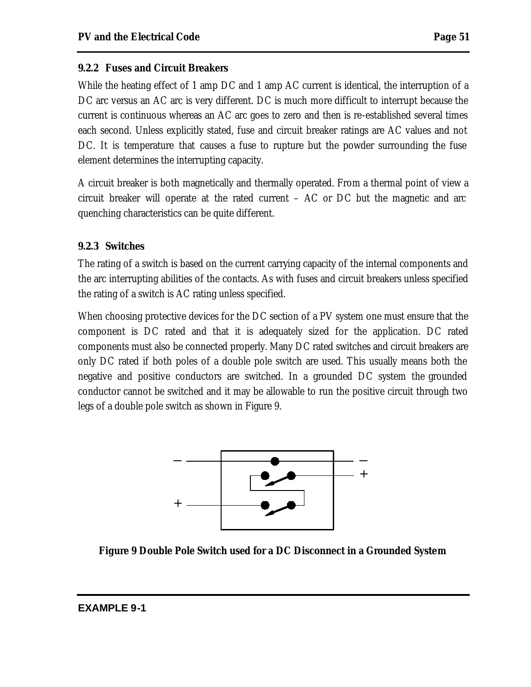While the heating effect of 1 amp DC and 1 amp AC current is identical, the interruption of a DC arc versus an AC arc is very different. DC is much more difficult to interrupt because the current is continuous whereas an AC arc goes to zero and then is re-established several times each second. Unless explicitly stated, fuse and circuit breaker ratings are AC values and not DC. It is temperature that causes a fuse to rupture but the powder surrounding the fuse element determines the interrupting capacity.

A circuit breaker is both magnetically and thermally operated. From a thermal point of view a circuit breaker will operate at the rated current – AC or DC but the magnetic and arc quenching characteristics can be quite different.

# **9.2.3 Switches**

The rating of a switch is based on the current carrying capacity of the internal components and the arc interrupting abilities of the contacts. As with fuses and circuit breakers unless specified the rating of a switch is AC rating unless specified.

When choosing protective devices for the DC section of a PV system one must ensure that the component is DC rated and that it is adequately sized for the application. DC rated components must also be connected properly. Many DC rated switches and circuit breakers are only DC rated if both poles of a double pole switch are used. This usually means both the negative and positive conductors are switched. In a grounded DC system the grounded conductor cannot be switched and it may be allowable to run the positive circuit through two legs of a double pole switch as shown in Figure 9.



**Figure 9 Double Pole Switch used for a DC Disconnect in a Grounded System**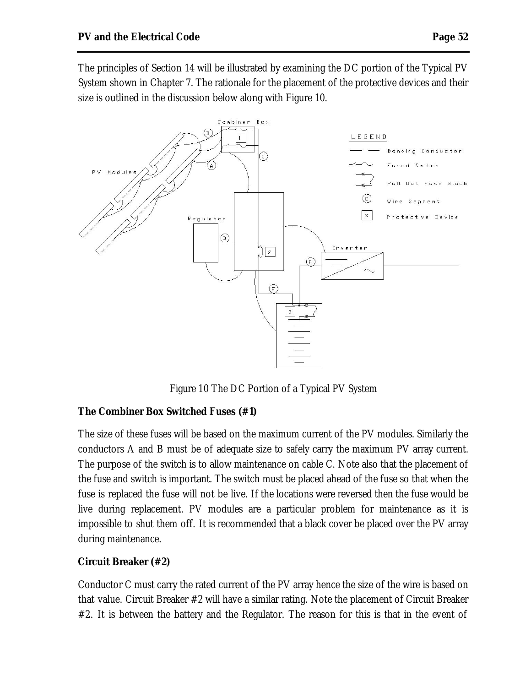The principles of Section 14 will be illustrated by examining the DC portion of the Typical PV System shown in Chapter 7. The rationale for the placement of the protective devices and their size is outlined in the discussion below along with Figure 10.



Figure 10 The DC Portion of a Typical PV System

#### **The Combiner Box Switched Fuses (#1)**

The size of these fuses will be based on the maximum current of the PV modules. Similarly the conductors A and B must be of adequate size to safely carry the maximum PV array current. The purpose of the switch is to allow maintenance on cable C. Note also that the placement of the fuse and switch is important. The switch must be placed ahead of the fuse so that when the fuse is replaced the fuse will not be live. If the locations were reversed then the fuse would be live during replacement. PV modules are a particular problem for maintenance as it is impossible to shut them off. It is recommended that a black cover be placed over the PV array during maintenance.

#### **Circuit Breaker (#2)**

Conductor C must carry the rated current of the PV array hence the size of the wire is based on that value. Circuit Breaker #2 will have a similar rating. Note the placement of Circuit Breaker #2. It is between the battery and the Regulator. The reason for this is that in the event of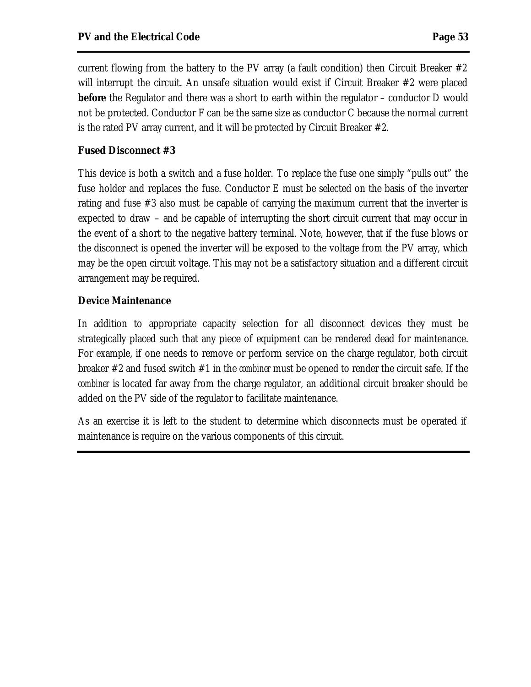current flowing from the battery to the PV array (a fault condition) then Circuit Breaker  $#2$ will interrupt the circuit. An unsafe situation would exist if Circuit Breaker #2 were placed **before** the Regulator and there was a short to earth within the regulator – conductor D would not be protected. Conductor F can be the same size as conductor C because the normal current is the rated PV array current, and it will be protected by Circuit Breaker #2.

#### **Fused Disconnect #3**

This device is both a switch and a fuse holder. To replace the fuse one simply "pulls out" the fuse holder and replaces the fuse. Conductor E must be selected on the basis of the inverter rating and fuse #3 also must be capable of carrying the maximum current that the inverter is expected to draw – and be capable of interrupting the short circuit current that may occur in the event of a short to the negative battery terminal. Note, however, that if the fuse blows or the disconnect is opened the inverter will be exposed to the voltage from the PV array, which may be the open circuit voltage. This may not be a satisfactory situation and a different circuit arrangement may be required.

#### **Device Maintenance**

In addition to appropriate capacity selection for all disconnect devices they must be strategically placed such that any piece of equipment can be rendered dead for maintenance. For example, if one needs to remove or perform service on the charge regulator, both circuit breaker #2 and fused switch #1 in the *combiner* must be opened to render the circuit safe. If the *combiner* is located far away from the charge regulator, an additional circuit breaker should be added on the PV side of the regulator to facilitate maintenance.

As an exercise it is left to the student to determine which disconnects must be operated if maintenance is require on the various components of this circuit.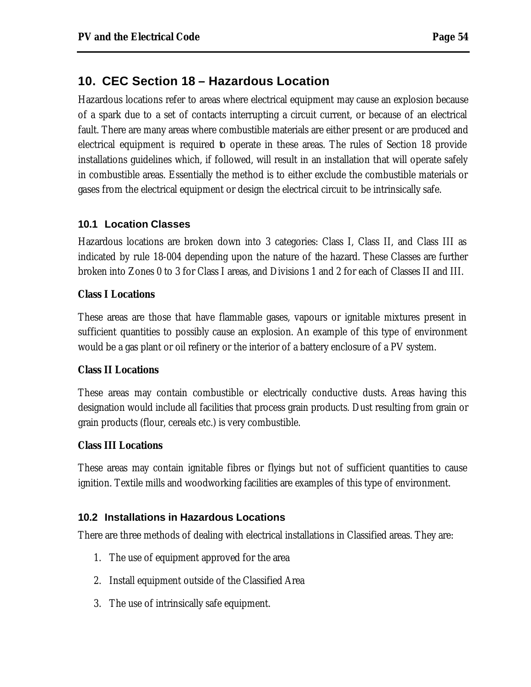# **10. CEC Section 18 – Hazardous Location**

Hazardous locations refer to areas where electrical equipment may cause an explosion because of a spark due to a set of contacts interrupting a circuit current, or because of an electrical fault. There are many areas where combustible materials are either present or are produced and electrical equipment is required to operate in these areas. The rules of Section 18 provide installations guidelines which, if followed, will result in an installation that will operate safely in combustible areas. Essentially the method is to either exclude the combustible materials or gases from the electrical equipment or design the electrical circuit to be intrinsically safe.

#### **10.1 Location Classes**

Hazardous locations are broken down into 3 categories: Class I, Class II, and Class III as indicated by rule 18-004 depending upon the nature of the hazard. These Classes are further broken into Zones 0 to 3 for Class I areas, and Divisions 1 and 2 for each of Classes II and III.

#### **Class I Locations**

These areas are those that have flammable gases, vapours or ignitable mixtures present in sufficient quantities to possibly cause an explosion. An example of this type of environment would be a gas plant or oil refinery or the interior of a battery enclosure of a PV system.

#### **Class II Locations**

These areas may contain combustible or electrically conductive dusts. Areas having this designation would include all facilities that process grain products. Dust resulting from grain or grain products (flour, cereals etc.) is very combustible.

#### **Class III Locations**

These areas may contain ignitable fibres or flyings but not of sufficient quantities to cause ignition. Textile mills and woodworking facilities are examples of this type of environment.

#### **10.2 Installations in Hazardous Locations**

There are three methods of dealing with electrical installations in Classified areas. They are:

- 1. The use of equipment approved for the area
- 2. Install equipment outside of the Classified Area
- 3. The use of intrinsically safe equipment.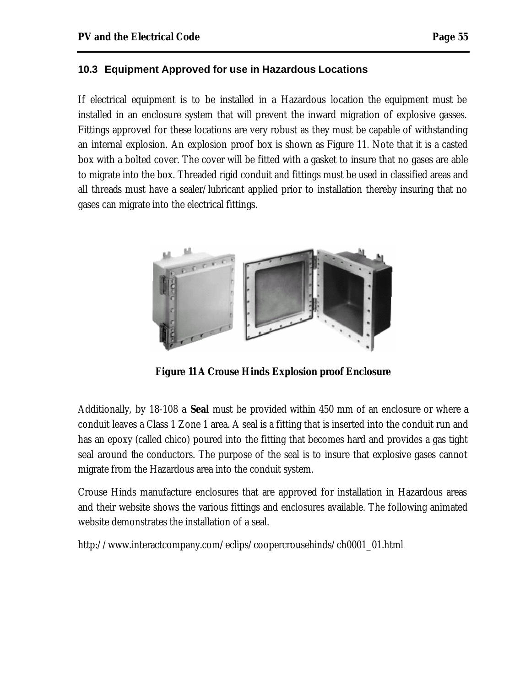#### **10.3 Equipment Approved for use in Hazardous Locations**

If electrical equipment is to be installed in a Hazardous location the equipment must be installed in an enclosure system that will prevent the inward migration of explosive gasses. Fittings approved for these locations are very robust as they must be capable of withstanding an internal explosion. An explosion proof box is shown as Figure 11. Note that it is a casted box with a bolted cover. The cover will be fitted with a gasket to insure that no gases are able to migrate into the box. Threaded rigid conduit and fittings must be used in classified areas and all threads must have a sealer/lubricant applied prior to installation thereby insuring that no gases can migrate into the electrical fittings.



**Figure 11 A Crouse Hinds Explosion proof Enclosure**

Additionally, by 18-108 a *Seal* must be provided within 450 mm of an enclosure or where a conduit leaves a Class 1 Zone 1 area. A seal is a fitting that is inserted into the conduit run and has an epoxy (called chico) poured into the fitting that becomes hard and provides a gas tight seal around the conductors. The purpose of the seal is to insure that explosive gases cannot migrate from the Hazardous area into the conduit system.

Crouse Hinds manufacture enclosures that are approved for installation in Hazardous areas and their website shows the various fittings and enclosures available. The following animated website demonstrates the installation of a seal.

http://www.interactcompany.com/eclips/coopercrousehinds/ch0001\_01.html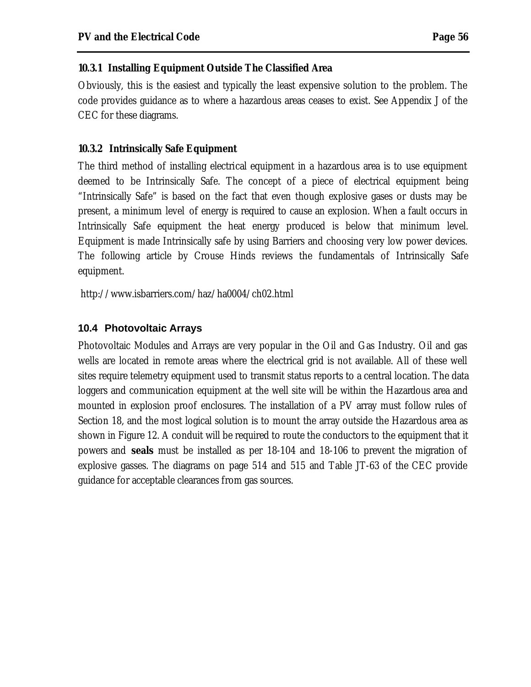#### **10.3.1 Installing Equipment Outside The Classified Area**

Obviously, this is the easiest and typically the least expensive solution to the problem. The code provides guidance as to where a hazardous areas ceases to exist. See Appendix J of the CEC for these diagrams.

#### **10.3.2 Intrinsically Safe Equipment**

The third method of installing electrical equipment in a hazardous area is to use equipment deemed to be Intrinsically Safe. The concept of a piece of electrical equipment being "Intrinsically Safe" is based on the fact that even though explosive gases or dusts may be present, a minimum level of energy is required to cause an explosion. When a fault occurs in Intrinsically Safe equipment the heat energy produced is below that minimum level. Equipment is made Intrinsically safe by using Barriers and choosing very low power devices. The following article by Crouse Hinds reviews the fundamentals of Intrinsically Safe equipment.

http://www.isbarriers.com/haz/ha0004/ch02.html

#### **10.4 Photovoltaic Arrays**

Photovoltaic Modules and Arrays are very popular in the Oil and Gas Industry. Oil and gas wells are located in remote areas where the electrical grid is not available. All of these well sites require telemetry equipment used to transmit status reports to a central location. The data loggers and communication equipment at the well site will be within the Hazardous area and mounted in explosion proof enclosures. The installation of a PV array must follow rules of Section 18, and the most logical solution is to mount the array outside the Hazardous area as shown in Figure 12. A conduit will be required to route the conductors to the equipment that it powers and *seals* must be installed as per 18-104 and 18-106 to prevent the migration of explosive gasses. The diagrams on page 514 and 515 and Table JT-63 of the CEC provide guidance for acceptable clearances from gas sources.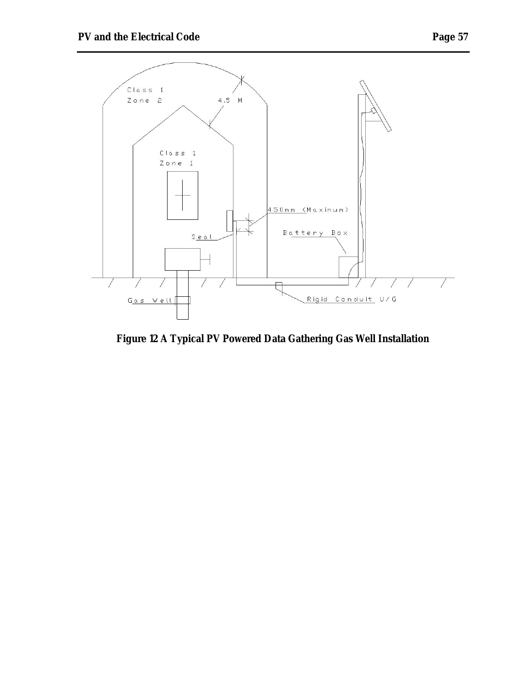



**Figure 12 A Typical PV Powered Data Gathering Gas Well Installation**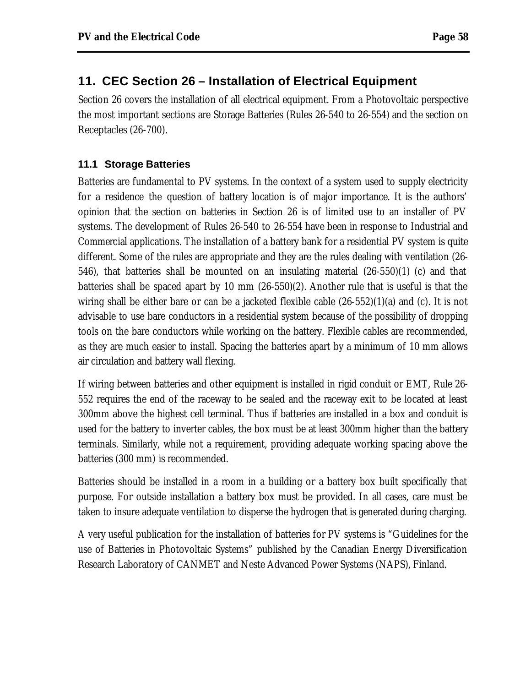# **11. CEC Section 26 – Installation of Electrical Equipment**

Section 26 covers the installation of all electrical equipment. From a Photovoltaic perspective the most important sections are Storage Batteries (Rules 26-540 to 26-554) and the section on Receptacles (26-700).

#### **11.1 Storage Batteries**

Batteries are fundamental to PV systems. In the context of a system used to supply electricity for a residence the question of battery location is of major importance. It is the authors' opinion that the section on batteries in Section 26 is of limited use to an installer of PV systems. The development of Rules 26-540 to 26-554 have been in response to Industrial and Commercial applications. The installation of a battery bank for a residential PV system is quite different. Some of the rules are appropriate and they are the rules dealing with ventilation (26- 546), that batteries shall be mounted on an insulating material (26-550)(1) (c) and that batteries shall be spaced apart by 10 mm (26-550)(2). Another rule that is useful is that the wiring shall be either bare or can be a jacketed flexible cable (26-552)(1)(a) and (c). It is not advisable to use bare conductors in a residential system because of the possibility of dropping tools on the bare conductors while working on the battery. Flexible cables are recommended, as they are much easier to install. Spacing the batteries apart by a minimum of 10 mm allows air circulation and battery wall flexing.

If wiring between batteries and other equipment is installed in rigid conduit or EMT, Rule 26- 552 requires the end of the raceway to be sealed and the raceway exit to be located at least 300mm above the highest cell terminal. Thus if batteries are installed in a box and conduit is used for the battery to inverter cables, the box must be at least 300mm higher than the battery terminals. Similarly, while not a requirement, providing adequate working spacing above the batteries (300 mm) is recommended.

Batteries should be installed in a room in a building or a battery box built specifically that purpose. For outside installation a battery box must be provided. In all cases, care must be taken to insure adequate ventilation to disperse the hydrogen that is generated during charging.

A very useful publication for the installation of batteries for PV systems is "Guidelines for the use of Batteries in Photovoltaic Systems" published by the Canadian Energy Diversification Research Laboratory of CANMET and Neste Advanced Power Systems (NAPS), Finland.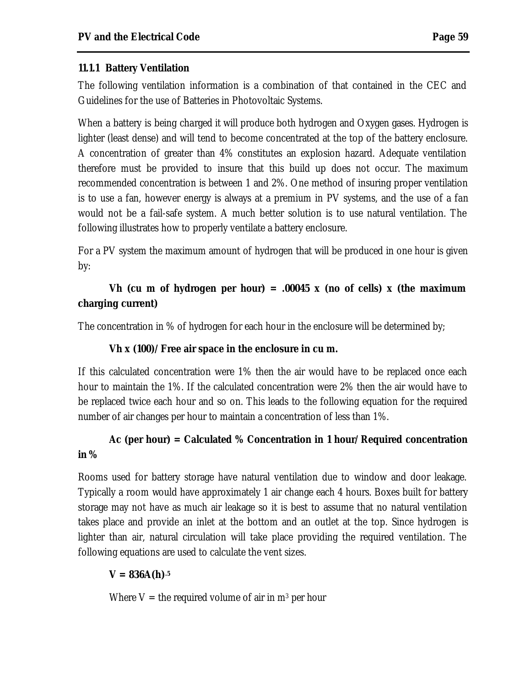#### **11.1.1 Battery Ventilation**

The following ventilation information is a combination of that contained in the CEC and Guidelines for the use of Batteries in Photovoltaic Systems.

When a battery is being charged it will produce both hydrogen and Oxygen gases. Hydrogen is lighter (least dense) and will tend to become concentrated at the top of the battery enclosure. A concentration of greater than 4% constitutes an explosion hazard. Adequate ventilation therefore must be provided to insure that this build up does not occur. The maximum recommended concentration is between 1 and 2%. One method of insuring proper ventilation is to use a fan, however energy is always at a premium in PV systems, and the use of a fan would not be a fail-safe system. A much better solution is to use natural ventilation. The following illustrates how to properly ventilate a battery enclosure.

For a PV system the maximum amount of hydrogen that will be produced in one hour is given by:

# **Vh (cu m of hydrogen per hour) = .00045 x (no of cells) x (the maximum charging current)**

The concentration in % of hydrogen for each hour in the enclosure will be determined by;

#### **Vh x (100)/Free air space in the enclosure in cu m.**

If this calculated concentration were 1% then the air would have to be replaced once each hour to maintain the 1%. If the calculated concentration were 2% then the air would have to be replaced twice each hour and so on. This leads to the following equation for the required number of air changes per hour to maintain a concentration of less than 1%.

# **Ac (per hour) = Calculated % Concentration in 1 hour/Required concentration in %**

Rooms used for battery storage have natural ventilation due to window and door leakage. Typically a room would have approximately 1 air change each 4 hours. Boxes built for battery storage may not have as much air leakage so it is best to assume that no natural ventilation takes place and provide an inlet at the bottom and an outlet at the top. Since hydrogen is lighter than air, natural circulation will take place providing the required ventilation. The following equations are used to calculate the vent sizes.

# $V = 836A(h)^{.5}$

Where  $V =$  the required volume of air in  $m^3$  per hour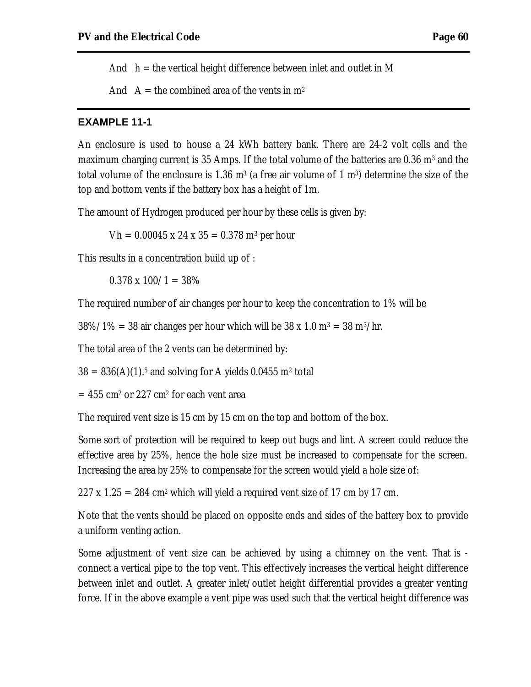And  $h =$  the vertical height difference between inlet and outlet in M

And  $A =$  the combined area of the vents in  $m<sup>2</sup>$ 

#### **EXAMPLE 11-1**

An enclosure is used to house a 24 kWh battery bank. There are 24-2 volt cells and the maximum charging current is 35 Amps. If the total volume of the batteries are  $0.36 \; \mathrm{m}^3$  and the total volume of the enclosure is 1.36  $\text{m}^3$  (a free air volume of 1  $\text{m}^3$ ) determine the size of the top and bottom vents if the battery box has a height of 1m.

The amount of Hydrogen produced per hour by these cells is given by:

 $Vh = 0.00045 \times 24 \times 35 = 0.378 \text{ m}^3 \text{ per hour}$ 

This results in a concentration build up of :

 $0.378 \times 100/1 = 38\%$ 

The required number of air changes per hour to keep the concentration to 1% will be

 $38\%/1\% = 38$  air changes per hour which will be  $38 \times 1.0$  m<sup>3</sup> =  $38$  m<sup>3</sup>/hr.

The total area of the 2 vents can be determined by:

 $38 = 836(A)(1).$ <sup>5</sup> and solving for A yields  $0.0455$  m<sup>2</sup> total

 $= 455$  cm² or 227 cm² for each vent area

The required vent size is 15 cm by 15 cm on the top and bottom of the box.

Some sort of protection will be required to keep out bugs and lint. A screen could reduce the effective area by 25%, hence the hole size must be increased to compensate for the screen. Increasing the area by 25% to compensate for the screen would yield a hole size of:

 $227 \times 1.25 = 284 \text{ cm}^2$  which will yield a required vent size of 17 cm by 17 cm.

Note that the vents should be placed on opposite ends and sides of the battery box to provide a uniform venting action.

Some adjustment of vent size can be achieved by using a chimney on the vent. That is connect a vertical pipe to the top vent. This effectively increases the vertical height difference between inlet and outlet. A greater inlet/outlet height differential provides a greater venting force. If in the above example a vent pipe was used such that the vertical height difference was